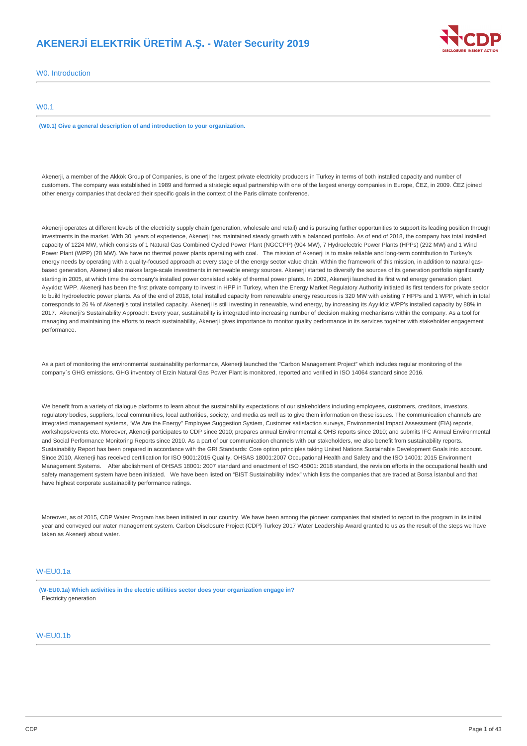## **AKENERJİ ELEKTRİK ÜRETİM A.Ş. - Water Security 2019**



W0. Introduction

### W0.1

**(W0.1) Give a general description of and introduction to your organization.**

Akenerji, a member of the Akkök Group of Companies, is one of the largest private electricity producers in Turkey in terms of both installed capacity and number of customers. The company was established in 1989 and formed a strategic equal partnership with one of the largest energy companies in Europe, ČEZ, in 2009. ČEZ joined other energy companies that declared their specific goals in the context of the Paris climate conference.

Akenerji operates at different levels of the electricity supply chain (generation, wholesale and retail) and is pursuing further opportunities to support its leading position through investments in the market. With 30 years of experience, Akenerji has maintained steady growth with a balanced portfolio. As of end of 2018, the company has total installed capacity of 1224 MW, which consists of 1 Natural Gas Combined Cycled Power Plant (NGCCPP) (904 MW), 7 Hydroelectric Power Plants (HPPs) (292 MW) and 1 Wind Power Plant (WPP) (28 MW). We have no thermal power plants operating with coal. The mission of Akenerji is to make reliable and long-term contribution to Turkey's energy needs by operating with a quality-focused approach at every stage of the energy sector value chain. Within the framework of this mission, in addition to natural gasbased generation, Akenerji also makes large-scale investments in renewable energy sources. Akenerji started to diversify the sources of its generation portfolio significantly starting in 2005, at which time the company's installed power consisted solely of thermal power plants. In 2009, Akenerji launched its first wind energy generation plant, Ayyıldız WPP. Akenerji has been the first private company to invest in HPP in Turkey, when the Energy Market Regulatory Authority initiated its first tenders for private sector to build hydroelectric power plants. As of the end of 2018, total installed capacity from renewable energy resources is 320 MW with existing 7 HPPs and 1 WPP, which in total corresponds to 26 % of Akenerji's total installed capacity. Akenerji is still investing in renewable, wind energy, by increasing its Ayyıldız WPP's installed capacity by 88% in 2017. Akenerji's Sustainability Approach: Every year, sustainability is integrated into increasing number of decision making mechanisms within the company. As a tool for managing and maintaining the efforts to reach sustainability, Akenerji gives importance to monitor quality performance in its services together with stakeholder engagement performance.

As a part of monitoring the environmental sustainability performance, Akenerji launched the "Carbon Management Project" which includes regular monitoring of the company`s GHG emissions. GHG inventory of Erzin Natural Gas Power Plant is monitored, reported and verified in ISO 14064 standard since 2016.

We benefit from a variety of dialogue platforms to learn about the sustainability expectations of our stakeholders including employees, customers, creditors, investors, regulatory bodies, suppliers, local communities, local authorities, society, and media as well as to give them information on these issues. The communication channels are integrated management systems, "We Are the Energy" Employee Suggestion System, Customer satisfaction surveys, Environmental Impact Assessment (EIA) reports, workshops/events etc. Moreover, Akenerji participates to CDP since 2010; prepares annual Environmental & OHS reports since 2010; and submits IFC Annual Environmental and Social Performance Monitoring Reports since 2010. As a part of our communication channels with our stakeholders, we also benefit from sustainability reports. Sustainability Report has been prepared in accordance with the GRI Standards: Core option principles taking United Nations Sustainable Development Goals into account. Since 2010, Akenerji has received certification for ISO 9001:2015 Quality, OHSAS 18001:2007 Occupational Health and Safety and the ISO 14001: 2015 Environment Management Systems. After abolishment of OHSAS 18001: 2007 standard and enactment of ISO 45001: 2018 standard, the revision efforts in the occupational health and safety management system have been initiated. We have been listed on "BIST Sustainability Index" which lists the companies that are traded at Borsa İstanbul and that have highest corporate sustainability performance ratings.

Moreover, as of 2015, CDP Water Program has been initiated in our country. We have been among the pioneer companies that started to report to the program in its initial year and conveyed our water management system. Carbon Disclosure Project (CDP) Turkey 2017 Water Leadership Award granted to us as the result of the steps we have taken as Akenerji about water.

### W-EU0.1a

**(W-EU0.1a) Which activities in the electric utilities sector does your organization engage in?** Electricity generation

## W-EU0.1b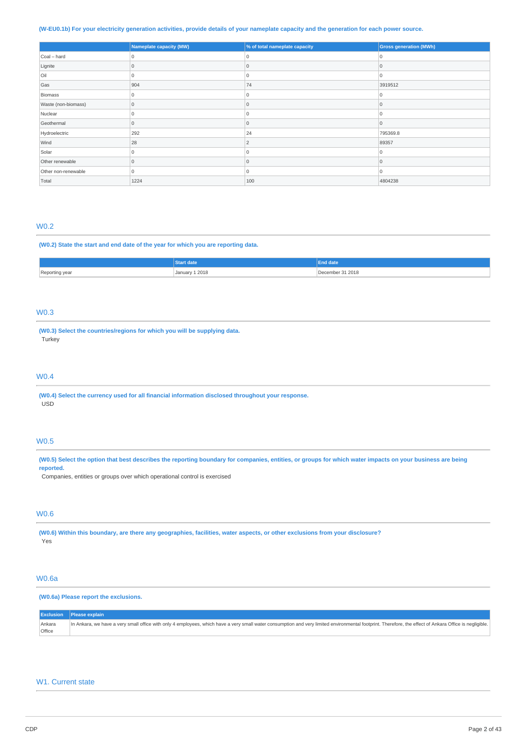### (W-EU0.1b) For your electricity generation activities, provide details of your nameplate capacity and the generation for each power source.

|                     | Nameplate capacity (MW) | % of total nameplate capacity | <b>Gross generation (MWh)</b> |
|---------------------|-------------------------|-------------------------------|-------------------------------|
| Coal - hard         | 0                       | <b>Ω</b>                      | 0                             |
| Lignite             |                         | 0                             | ۱O                            |
| Oil                 | $\mathbf 0$             | $\overline{0}$                | 0                             |
| Gas                 | 904                     | 74                            | 3919512                       |
| Biomass             | $\Omega$                | 0                             | 10                            |
| Waste (non-biomass) | $\Omega$                | $\Omega$                      |                               |
| Nuclear             | $\Omega$                | 0                             | 0                             |
| Geothermal          | $\Omega$                | $\Omega$                      | l C                           |
| Hydroelectric       | 292                     | 24                            | 795369.8                      |
| Wind                | 28                      | $\overline{\phantom{a}}$      | 89357                         |
| Solar               | $\Omega$                | 0                             | ١O                            |
| Other renewable     | $\Omega$                | $\Omega$                      | l C                           |
| Other non-renewable | $\overline{0}$          | 10                            | 0                             |
| Total               | 1224                    | 100                           | 4804238                       |

#### W0.2

#### **(W0.2) State the start and end date of the year for which you are reporting data.**

|                | Start date                | End date                |
|----------------|---------------------------|-------------------------|
| Reporting year | 1 2018<br>January 1,<br>. | 31 2018<br>≏cemher<br>. |

### W0.3

**(W0.3) Select the countries/regions for which you will be supplying data. Turkey** 

## W0.4

**(W0.4) Select the currency used for all financial information disclosed throughout your response.** USD

## W0.5

(W0.5) Select the option that best describes the reporting boundary for companies, entities, or groups for which water impacts on your business are being **reported.**

Companies, entities or groups over which operational control is exercised

#### W0.6

(W0.6) Within this boundary, are there any geographies, facilities, water aspects, or other exclusions from your disclosure? Yes

## W0.6a

## **(W0.6a) Please report the exclusions.**

|        | <b>Exclusion</b> Please explain                                                                                                                                                                         |
|--------|---------------------------------------------------------------------------------------------------------------------------------------------------------------------------------------------------------|
| Ankara | In Ankara, we have a very small office with only 4 employees, which have a very small water consumption and very limited environmental footprint. Therefore, the effect of Ankara Office is negligible. |
| Office |                                                                                                                                                                                                         |

## W1. Current state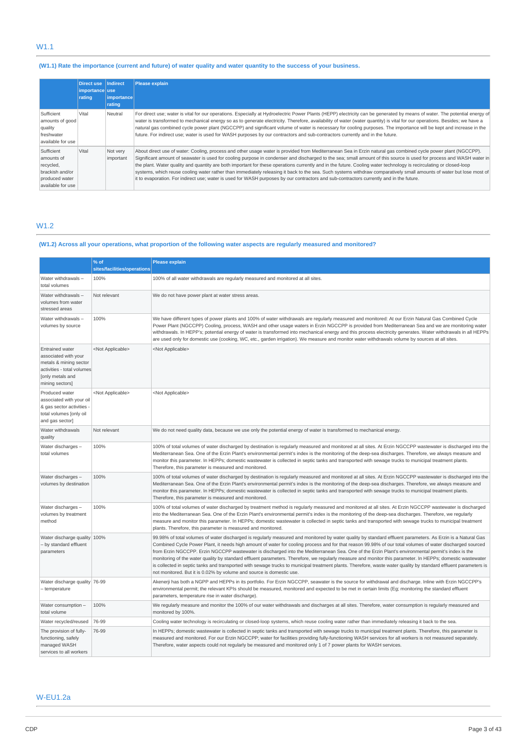## W1.1

## (W1.1) Rate the importance (current and future) of water quality and water quantity to the success of your business.

|                                                                                                 | <b>Direct use</b><br>importance use<br>rating | Indirect<br> importance <br>rating | <b>Please explain</b>                                                                                                                                                                                                                                                                                                                                                                                                                                                                                                                                                                                                                                                                                                                                                                                                             |
|-------------------------------------------------------------------------------------------------|-----------------------------------------------|------------------------------------|-----------------------------------------------------------------------------------------------------------------------------------------------------------------------------------------------------------------------------------------------------------------------------------------------------------------------------------------------------------------------------------------------------------------------------------------------------------------------------------------------------------------------------------------------------------------------------------------------------------------------------------------------------------------------------------------------------------------------------------------------------------------------------------------------------------------------------------|
| Sufficient<br>amounts of good<br>quality<br>freshwater<br>available for use                     | Vital                                         | Neutral                            | For direct use; water is vital for our operations. Especially at Hydroelectric Power Plants (HEPP) electricity can be generated by means of water. The potential energy of<br>water is transformed to mechanical energy so as to generate electricity. Therefore, availability of water (water quantity) is vital for our operations. Besides; we have a<br>natural gas combined cycle power plant (NGCCPP) and significant volume of water is necessary for cooling purposes. The importance will be kept and increase in the<br>future. For indirect use; water is used for WASH purposes by our contractors and sub-contractors currently and in the future.                                                                                                                                                                   |
| Sufficient<br>amounts of<br>recycled,<br>brackish and/or<br>produced water<br>available for use | Vital                                         | Not very<br>important              | About direct use of water: Cooling, process and other usage water is provided from Mediterranean Sea in Erzin natural gas combined cycle power plant (NGCCPP).<br>Significant amount of seawater is used for cooling purpose in condenser and discharged to the sea; small amount of this source is used for process and WASH water in<br>the plant. Water quality and quantity are both important for these operations currently and in the future. Cooling water technology is recirculating or closed-loop<br>systems, which reuse cooling water rather than immediately releasing it back to the sea. Such systems withdraw comparatively small amounts of water but lose most of<br>it to evaporation. For indirect use; water is used for WASH purposes by our contractors and sub-contractors currently and in the future. |

## W1.2

## (W1.2) Across all your operations, what proportion of the following water aspects are regularly measured and monitored?

|                                                                                                                                               | % of                        | <b>Please explain</b>                                                                                                                                                                                                                                                                                                                                                                                                                                                                                                                                                                                                                                                                                                                                                                                                                                                                   |
|-----------------------------------------------------------------------------------------------------------------------------------------------|-----------------------------|-----------------------------------------------------------------------------------------------------------------------------------------------------------------------------------------------------------------------------------------------------------------------------------------------------------------------------------------------------------------------------------------------------------------------------------------------------------------------------------------------------------------------------------------------------------------------------------------------------------------------------------------------------------------------------------------------------------------------------------------------------------------------------------------------------------------------------------------------------------------------------------------|
|                                                                                                                                               | sites/facilities/operations |                                                                                                                                                                                                                                                                                                                                                                                                                                                                                                                                                                                                                                                                                                                                                                                                                                                                                         |
| Water withdrawals-<br>total volumes                                                                                                           | 100%                        | 100% of all water withdrawals are regularly measured and monitored at all sites.                                                                                                                                                                                                                                                                                                                                                                                                                                                                                                                                                                                                                                                                                                                                                                                                        |
| Water withdrawals-<br>volumes from water<br>stressed areas                                                                                    | Not relevant                | We do not have power plant at water stress areas.                                                                                                                                                                                                                                                                                                                                                                                                                                                                                                                                                                                                                                                                                                                                                                                                                                       |
| Water withdrawals-<br>volumes by source                                                                                                       | 100%                        | We have different types of power plants and 100% of water withdrawals are regularly measured and monitored: At our Erzin Natural Gas Combined Cycle<br>Power Plant (NGCCPP) Cooling, process, WASH and other usage waters in Erzin NGCCPP is provided from Mediterranean Sea and we are monitoring water<br>withdrawals. In HEPP's; potential energy of water is transformed into mechanical energy and this process electricity generates. Water withdrawals in all HEPPs<br>are used only for domestic use (cooking, WC, etc., garden irrigation). We measure and monitor water withdrawals volume by sources at all sites.                                                                                                                                                                                                                                                           |
| <b>Entrained water</b><br>associated with your<br>metals & mining sector<br>activities - total volumes<br>[only metals and<br>mining sectors] | <not applicable=""></not>   | <not applicable=""></not>                                                                                                                                                                                                                                                                                                                                                                                                                                                                                                                                                                                                                                                                                                                                                                                                                                                               |
| Produced water<br>associated with your oil<br>& gas sector activities -<br>total volumes [only oil<br>and gas sector]                         | <not applicable=""></not>   | <not applicable=""></not>                                                                                                                                                                                                                                                                                                                                                                                                                                                                                                                                                                                                                                                                                                                                                                                                                                                               |
| Water withdrawals<br>quality                                                                                                                  | Not relevant                | We do not need quality data, because we use only the potential energy of water is transformed to mechanical energy.                                                                                                                                                                                                                                                                                                                                                                                                                                                                                                                                                                                                                                                                                                                                                                     |
| Water discharges -<br>total volumes                                                                                                           | 100%                        | 100% of total volumes of water discharged by destination is regularly measured and monitored at all sites. At Erzin NGCCPP wastewater is discharged into the<br>Mediterranean Sea. One of the Erzin Plant's environmental permit's index is the monitoring of the deep-sea discharges. Therefore, we always measure and<br>monitor this parameter. In HEPPs; domestic wastewater is collected in septic tanks and transported with sewage trucks to municipal treatment plants.<br>Therefore, this parameter is measured and monitored.                                                                                                                                                                                                                                                                                                                                                 |
| Water discharges -<br>volumes by destination                                                                                                  | 100%                        | 100% of total volumes of water discharged by destination is regularly measured and monitored at all sites. At Erzin NGCCPP wastewater is discharged into the<br>Mediterranean Sea. One of the Erzin Plant's environmental permit's index is the monitoring of the deep-sea discharges. Therefore, we always measure and<br>monitor this parameter. In HEPPs; domestic wastewater is collected in septic tanks and transported with sewage trucks to municipal treatment plants.<br>Therefore, this parameter is measured and monitored.                                                                                                                                                                                                                                                                                                                                                 |
| Water discharges -<br>volumes by treatment<br>method                                                                                          | 100%                        | 100% of total volumes of water discharged by treatment method is regularly measured and monitored at all sites. At Erzin NGCCPP wastewater is discharged<br>into the Mediterranean Sea. One of the Erzin Plant's environmental permit's index is the monitoring of the deep-sea discharges. Therefore, we regularly<br>measure and monitor this parameter. In HEPPs; domestic wastewater is collected in septic tanks and transported with sewage trucks to municipal treatment<br>plants. Therefore, this parameter is measured and monitored.                                                                                                                                                                                                                                                                                                                                         |
| Water discharge quality 100%<br>- by standard effluent<br>parameters                                                                          |                             | 99.98% of total volumes of water discharged is regularly measured and monitored by water quality by standard effluent parameters. As Erzin is a Natural Gas<br>Combined Cycle Power Plant, it needs high amount of water for cooling process and for that reason 99.98% of our total volumes of water discharged sourced<br>from Erzin NGCCPP. Erzin NGCCPP wastewater is discharged into the Mediterranean Sea. One of the Erzin Plant's environmental permit's index is the<br>monitoring of the water quality by standard effluent parameters. Therefore, we regularly measure and monitor this parameter. In HEPPs; domestic wastewater<br>is collected in septic tanks and transported with sewage trucks to municipal treatment plants. Therefore, waste water quality by standard effluent parameters is<br>not monitored. But it is 0.02% by volume and source is domestic use. |
| Water discharge quality 76-99<br>- temperature                                                                                                |                             | Akenerji has both a NGPP and HEPPs in its portfolio. For Erzin NGCCPP, seawater is the source for withdrawal and discharge. Inline with Erzin NGCCPP's<br>environmental permit; the relevant KPIs should be measured, monitored and expected to be met in certain limits (Eg; monitoring the standard effluent<br>parameters, temperature rise in water discharge).                                                                                                                                                                                                                                                                                                                                                                                                                                                                                                                     |
| Water consumption -<br>total volume                                                                                                           | 100%                        | We regularly measure and monitor the 100% of our water withdrawals and discharges at all sites. Therefore, water consumption is regularly measured and<br>monitored by 100%.                                                                                                                                                                                                                                                                                                                                                                                                                                                                                                                                                                                                                                                                                                            |
| Water recycled/reused                                                                                                                         | 76-99                       | Cooling water technology is recirculating or closed-loop systems, which reuse cooling water rather than immediately releasing it back to the sea.                                                                                                                                                                                                                                                                                                                                                                                                                                                                                                                                                                                                                                                                                                                                       |
| The provision of fully-<br>functioning, safely<br>managed WASH<br>services to all workers                                                     | 76-99                       | In HEPPs; domestic wastewater is collected in septic tanks and transported with sewage trucks to municipal treatment plants. Therefore, this parameter is<br>measured and monitored. For our Erzin NGCCPP; water for facilities providing fully-functioning WASH services for all workers is not measured separately.<br>Therefore, water aspects could not regularly be measured and monitored only 1 of 7 power plants for WASH services.                                                                                                                                                                                                                                                                                                                                                                                                                                             |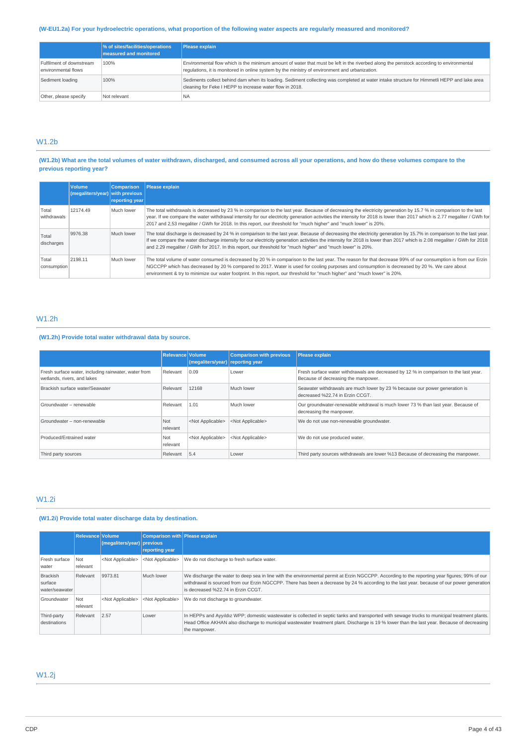### (W-EU1.2a) For your hydroelectric operations, what proportion of the following water aspects are regularly measured and monitored?

|                                                 | % of sites/facilities/operations<br><b>measured and monitored</b> | <b>Please explain</b>                                                                                                                                                                                                                     |
|-------------------------------------------------|-------------------------------------------------------------------|-------------------------------------------------------------------------------------------------------------------------------------------------------------------------------------------------------------------------------------------|
| Fulfilment of downstream<br>environmental flows | 100%                                                              | Environmental flow which is the minimum amount of water that must be left in the riverbed along the penstock according to environmental<br>requlations, it is monitored in online system by the ministry of environment and urbanization. |
| Sediment loading                                | 100%                                                              | Sediments collect behind dam when its loading. Sediment collecting was completed at water intake structure for Himmetli HEPP and lake area<br>cleaning for Feke I HEPP to increase water flow in 2018.                                    |
| Other, please specify                           | Not relevant                                                      | <b>NA</b>                                                                                                                                                                                                                                 |

## W1.2b

## (W1.2b) What are the total volumes of water withdrawn, discharged, and consumed across all your operations, and how do these volumes compare to the **previous reporting year?**

|                      | <b>Volume</b><br>(megaliters/year) with previous | Comparison<br>reporting year | Please explain                                                                                                                                                                                                                                                                                                                                                                                                                                                  |
|----------------------|--------------------------------------------------|------------------------------|-----------------------------------------------------------------------------------------------------------------------------------------------------------------------------------------------------------------------------------------------------------------------------------------------------------------------------------------------------------------------------------------------------------------------------------------------------------------|
| Total<br>withdrawals | 12174.49                                         | Much lower                   | The total withdrawals is decreased by 23 % in comparison to the last year. Because of decreasing the electricity generation by 15.7 % in comparison to the last<br>year. If we compare the water withdrawal intensity for our electricity generation activities the intensity for 2018 is lower than 2017 which is 2.77 megaliter / GWh for<br>2017 and 2,53 megaliter / GWh for 2018. In this report, our threshold for "much higher" and "much lower" is 20%. |
| Total<br>discharges  | 9976.38                                          | Much lower                   | The total discharge is decreased by 24 % in comparison to the last year. Because of decreasing the electricity generation by 15.7% in comparison to the last year.<br>If we compare the water discharge intensity for our electricity generation activities the intensity for 2018 is lower than 2017 which is 2.08 megaliter / GWh for 2018<br>and 2.29 megaliter / GWh for 2017. In this report, our threshold for "much higher" and "much lower" is 20%.     |
| Total<br>consumption | 2198.11                                          | Much lower                   | The total volume of water consumed is decreased by 20 % in comparison to the last year. The reason for that decrease 99% of our consumption is from our Erzin<br>NGCCPP which has decreased by 20 % compared to 2017. Water is used for cooling purposes and consumption is decreased by 20 %. We care about<br>environment & try to minimize our water footprint. In this report, our threshold for "much higher" and "much lower" is 20%.                     |

## W1.2h

## **(W1.2h) Provide total water withdrawal data by source.**

|                                                                                     | <b>Relevance Volume</b> | (megaliters/year) reporting year | <b>Comparison with previous</b> | <b>Please explain</b>                                                                                                        |
|-------------------------------------------------------------------------------------|-------------------------|----------------------------------|---------------------------------|------------------------------------------------------------------------------------------------------------------------------|
| Fresh surface water, including rainwater, water from<br>wetlands, rivers, and lakes | Relevant                | 0.09                             | Lower                           | Fresh surface water withdrawals are decreased by 12 % in comparison to the last year.<br>Because of decreasing the manpower. |
| Brackish surface water/Seawater                                                     | Relevant                | 12168                            | Much lower                      | Seawater withdrawals are much lower by 23 % because our power generation is<br>decreased %22.74 in Erzin CCGT.               |
| Groundwater - renewable                                                             | Relevant                | 1.01                             | Much lower                      | Our groundwater-renewable witdrawal is much lower 73 % than last year. Because of<br>decreasing the manpower.                |
| Groundwater - non-renewable                                                         | Not<br>relevant         | <not applicable=""></not>        | <not applicable=""></not>       | We do not use non-renewable groundwater.                                                                                     |
| Produced/Entrained water                                                            | Not<br>relevant         | <not applicable=""></not>        | <not applicable=""></not>       | We do not use produced water.                                                                                                |
| Third party sources                                                                 | Relevant                | 5.4                              | Lower                           | Third party sources withdrawals are lower %13 Because of decreasing the manpower.                                            |

## W1.2i

## **(W1.2i) Provide total water discharge data by destination.**

|                                              | Relevance Volume | (megaliters/year) previous | Comparison with Please explain<br>reporting year |                                                                                                                                                                                                                                                                                                                                   |
|----------------------------------------------|------------------|----------------------------|--------------------------------------------------|-----------------------------------------------------------------------------------------------------------------------------------------------------------------------------------------------------------------------------------------------------------------------------------------------------------------------------------|
| Fresh surface<br>water                       | Not<br>relevant  | <not applicable=""></not>  | <not applicable=""></not>                        | We do not discharge to fresh surface water.                                                                                                                                                                                                                                                                                       |
| <b>Brackish</b><br>surface<br>water/seawater | Relevant         | 9973.81                    | Much lower                                       | We discharge the water to deep sea in line with the environmental permit at Erzin NGCCPP. According to the reporting year figures; 99% of our<br>withdrawal is sourced from our Erzin NGCCPP. There has been a decrease by 24 % according to the last year. because of our power generation<br>is decreased %22.74 in Erzin CCGT. |
| Groundwater                                  | Not<br>relevant  | <not applicable=""></not>  | <not applicable=""></not>                        | We do not discharge to groundwater.                                                                                                                                                                                                                                                                                               |
| Third-party<br>destinations                  | Relevant         | 2.57                       | Lower                                            | In HEPPs and Ayyıldız WPP; domestic wastewater is collected in septic tanks and transported with sewage trucks to municipal treatment plants.<br>Head Office AKHAN also discharge to municipal wastewater treatment plant. Discharge is 19 % lower than the last year. Because of decreasing<br>the manpower.                     |

## W1.2j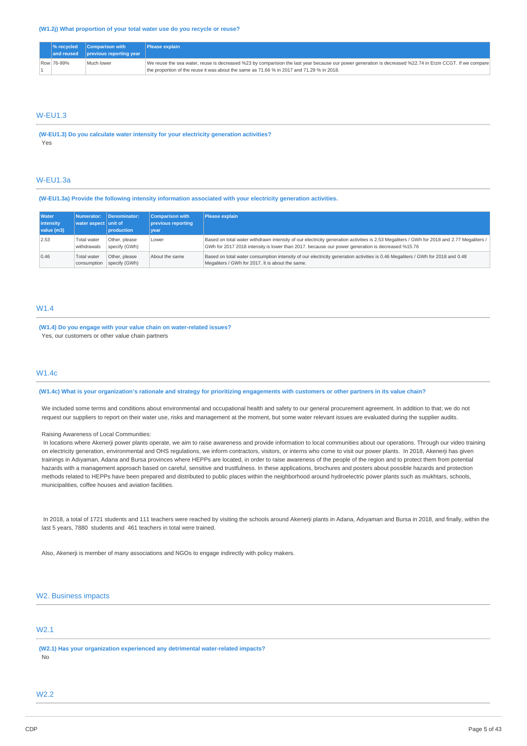|            | $\sqrt{ }$ ecycled $\sqrt{ }$ Comparison with              | <b>Please explain</b>                                                                                                                                     |
|------------|------------------------------------------------------------|-----------------------------------------------------------------------------------------------------------------------------------------------------------|
|            | $\vert$ and reused $\vert$ previous reporting year $\vert$ |                                                                                                                                                           |
| Row 76-99% | Much lower                                                 | We reuse the sea water, reuse is decreased %23 by comparision the last year because our power generation is decreased %22.74 in Erzin CCGT. If we compare |
|            |                                                            | the proportion of the reuse it was about the same as 71.66 % in 2017 and 71.29 % in 2018.                                                                 |

## W-EU1.3

**(W-EU1.3) Do you calculate water intensity for your electricity generation activities?** Yes

## W-EU1.3a

### **(W-EU1.3a) Provide the following intensity information associated with your electricity generation activities.**

| <b>Water</b><br>intensity | Numerator:<br>water aspect unit of | Denominator:                   | <b>Comparison with</b><br>previous reporting | Please explain                                                                                                                                                                                                                                  |
|---------------------------|------------------------------------|--------------------------------|----------------------------------------------|-------------------------------------------------------------------------------------------------------------------------------------------------------------------------------------------------------------------------------------------------|
| value (m3)                |                                    | <b>production</b>              | vear                                         |                                                                                                                                                                                                                                                 |
| 2.53                      | <b>Total water</b><br>withdrawals  | Other, please<br>specify (GWh) | Lower                                        | Based on total water withdrawn intensity of our electricity generation activities is 2.53 Megaliters / GWh for 2018 and 2.77 Megaliters /  <br>GWh for 2017 2018 intensity is lower than 2017. because our power generation is decreased %15.76 |
| 0.46                      | <b>Total water</b><br>consumption  | Other, please<br>specify (GWh) | About the same                               | Based on total water consumption intensity of our electricity generation activities is 0.46 Megaliters / GWh for 2018 and 0.48<br>Megaliters / GWh for 2017. It is about the same.                                                              |

## W1.4

**(W1.4) Do you engage with your value chain on water-related issues?** Yes, our customers or other value chain partners

### W1.4c

### (W1.4c) What is your organization's rationale and strategy for prioritizing engagements with customers or other partners in its value chain?

We included some terms and conditions about environmental and occupational health and safety to our general procurement agreement. In addition to that; we do not request our suppliers to report on their water use, risks and management at the moment, but some water relevant issues are evaluated during the supplier audits.

#### Raising Awareness of Local Communities:

In locations where Akenerji power plants operate, we aim to raise awareness and provide information to local communities about our operations. Through our video training on electricity generation, environmental and OHS regulations, we inform contractors, visitors, or interns who come to visit our power plants. In 2018, Akenerji has given trainings in Adıyaman, Adana and Bursa provinces where HEPPs are located, in order to raise awareness of the people of the region and to protect them from potential hazards with a management approach based on careful, sensitive and trustfulness. In these applications, brochures and posters about possible hazards and protection methods related to HEPPs have been prepared and distributed to public places within the neighborhood around hydroelectric power plants such as mukhtars, schools, municipalities, coffee houses and aviation facilities.

In 2018, a total of 1721 students and 111 teachers were reached by visiting the schools around Akenerji plants in Adana, Adıyaman and Bursa in 2018, and finally, within the last 5 years, 7880 students and 461 teachers in total were trained.

Also, Akenerji is member of many associations and NGOs to engage indirectly with policy makers.

## W2. Business impacts

## W2.1

**(W2.1) Has your organization experienced any detrimental water-related impacts?** No

## W2.2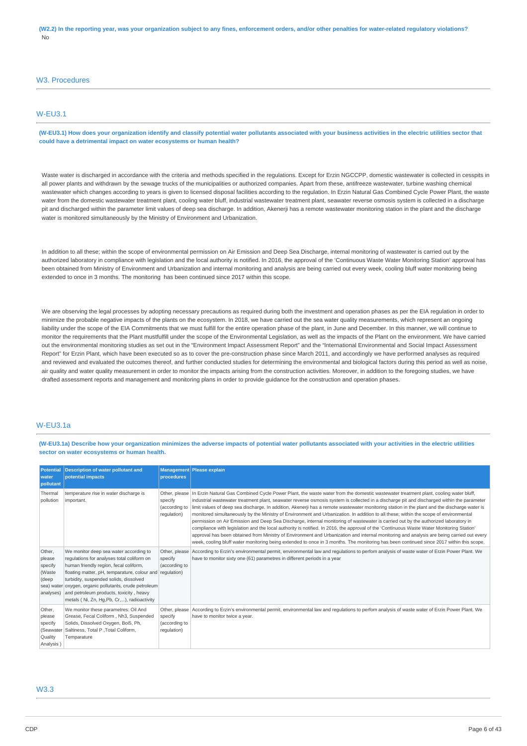### W3. Procedures

## W-EU3.1

(W-EU3.1) How does your organization identify and classify potential water pollutants associated with your business activities in the electric utilities sector that **could have a detrimental impact on water ecosystems or human health?**

Waste water is discharged in accordance with the criteria and methods specified in the regulations. Except for Erzin NGCCPP, domestic wastewater is collected in cesspits in all power plants and withdrawn by the sewage trucks of the municipalities or authorized companies. Apart from these, antifreeze wastewater, turbine washing chemical wastewater which changes according to years is given to licensed disposal facilities according to the regulation. In Erzin Natural Gas Combined Cycle Power Plant, the waste water from the domestic wastewater treatment plant, cooling water bluff, industrial wastewater treatment plant, seawater reverse osmosis system is collected in a discharge pit and discharged within the parameter limit values of deep sea discharge. In addition, Akenerji has a remote wastewater monitoring station in the plant and the discharge water is monitored simultaneously by the Ministry of Environment and Urbanization.

In addition to all these; within the scope of environmental permission on Air Emission and Deep Sea Discharge, internal monitoring of wastewater is carried out by the authorized laboratory in compliance with legislation and the local authority is notified. In 2016, the approval of the 'Continuous Waste Water Monitoring Station' approval has been obtained from Ministry of Environment and Urbanization and internal monitoring and analysis are being carried out every week, cooling bluff water monitoring being extended to once in 3 months. The monitoring has been continued since 2017 within this scope.

We are observing the legal processes by adopting necessary precautions as required during both the investment and operation phases as per the EIA regulation in order to minimize the probable negative impacts of the plants on the ecosystem. In 2018, we have carried out the sea water quality measurements, which represent an ongoing liability under the scope of the EIA Commitments that we must fulfill for the entire operation phase of the plant, in June and December. In this manner, we will continue to monitor the requirements that the Plant mustfulfill under the scope of the Environmental Legislation, as well as the impacts of the Plant on the environment. We have carried out the environmental monitoring studies as set out in the "Environment Impact Assessment Report" and the "International Environmental and Social Impact Assessment Report" for Erzin Plant, which have been executed so as to cover the pre-construction phase since March 2011, and accordingly we have performed analyses as required and reviewed and evaluated the outcomes thereof, and further conducted studies for determining the environmental and biological factors during this period as well as noise, air quality and water quality measurement in order to monitor the impacts arising from the construction activities. Moreover, in addition to the foregoing studies, we have drafted assessment reports and management and monitoring plans in order to provide guidance for the construction and operation phases.

## W-EU3.1a

(W-EU3.1a) Describe how your organization minimizes the adverse impacts of potential water pollutants associated with your activities in the electric utilities **sector on water ecosystems or human health.**

| <b>Potential</b><br>water<br>pollutant                           | <b>Description of water pollutant and</b><br>potential impacts                                                                                                                                                                                                                                                                                                                           | procedures                              | Management Please explain                                                                                                                                                                                                                                                                                                                                                                                                                                                                                                                                                                                                                                                                                                                                                                                                                                                                                                                                                                                                                                                                                                                                             |
|------------------------------------------------------------------|------------------------------------------------------------------------------------------------------------------------------------------------------------------------------------------------------------------------------------------------------------------------------------------------------------------------------------------------------------------------------------------|-----------------------------------------|-----------------------------------------------------------------------------------------------------------------------------------------------------------------------------------------------------------------------------------------------------------------------------------------------------------------------------------------------------------------------------------------------------------------------------------------------------------------------------------------------------------------------------------------------------------------------------------------------------------------------------------------------------------------------------------------------------------------------------------------------------------------------------------------------------------------------------------------------------------------------------------------------------------------------------------------------------------------------------------------------------------------------------------------------------------------------------------------------------------------------------------------------------------------------|
| Thermal<br>pollution                                             | temperature rise in water discharge is<br>important.                                                                                                                                                                                                                                                                                                                                     | specify<br>(according to<br>requlation) | Other, please In Erzin Natural Gas Combined Cycle Power Plant, the waste water from the domestic wastewater treatment plant, cooling water bluff,<br>industrial wastewater treatment plant, seawater reverse osmosis system is collected in a discharge pit and discharged within the parameter<br>limit values of deep sea discharge. In addition, Akenerji has a remote wastewater monitoring station in the plant and the discharge water is<br>monitored simultaneously by the Ministry of Environment and Urbanization. In addition to all these; within the scope of environmental<br>permission on Air Emission and Deep Sea Discharge, internal monitoring of wastewater is carried out by the authorized laboratory in<br>compliance with legislation and the local authority is notified. In 2016, the approval of the 'Continuous Waste Water Monitoring Station'<br>approval has been obtained from Ministry of Environment and Urbanization and internal monitoring and analysis are being carried out every<br>week, cooling bluff water monitoring being extended to once in 3 months. The monitoring has been continued since 2017 within this scope. |
| Other,<br>please<br>specify<br>(Waste<br>(deep<br>analyses)      | We monitor deep sea water according to<br>regulations for analyses total coliform on<br>human friendly region, fecal coliform,<br>floating matter, pH, temparature, colour and regulation)<br>turbidity, suspended solids, dissolved<br>sea) water oxygen, organic pollutants, crude petroleum<br>and petroleum products, toxicity, heavy<br>metals (Ni, Zn, Hg, Pb, Cr,), radioactivity | specify<br>(according to                | Other, please According to Erzin's environmental permit, environmental law and regulations to perfom analysis of waste water of Erzin Power Plant. We<br>have to monitor sixty one (61) parametres in different periods in a year                                                                                                                                                                                                                                                                                                                                                                                                                                                                                                                                                                                                                                                                                                                                                                                                                                                                                                                                     |
| Other,<br>please<br>specify<br>(Seawater<br>Quality<br>Analysis) | We monitor these parametres: Oil And<br>Grease, Fecal Coliform, Nh3, Suspended<br>Solids, Dissolved Oxygen, Boi5, Ph,<br>Saltiness, Total P , Total Coliform,<br>Temparature                                                                                                                                                                                                             | specify<br>(according to<br>regulation) | Other, please According to Erzin's environmental permit, environmental law and regulations to perfom analysis of waste water of Erzin Power Plant. We<br>have to monitor twice a year.                                                                                                                                                                                                                                                                                                                                                                                                                                                                                                                                                                                                                                                                                                                                                                                                                                                                                                                                                                                |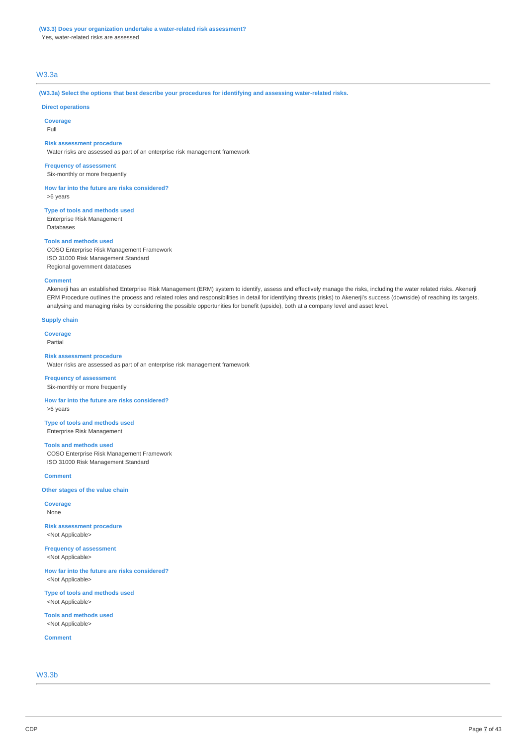## **(W3.3) Does your organization undertake a water-related risk assessment?**

Yes, water-related risks are assessed

## W3.3a

#### **(W3.3a) Select the options that best describe your procedures for identifying and assessing water-related risks.**

### **Direct operations**

**Coverage**

Full

### **Risk assessment procedure**

Water risks are assessed as part of an enterprise risk management framework

**Frequency of assessment** Six-monthly or more frequently

**How far into the future are risks considered?** >6 years

**Type of tools and methods used** Enterprise Risk Management Databases

#### **Tools and methods used**

COSO Enterprise Risk Management Framework ISO 31000 Risk Management Standard Regional government databases

#### **Comment**

Akenerji has an established Enterprise Risk Management (ERM) system to identify, assess and effectively manage the risks, including the water related risks. Akenerji ERM Procedure outlines the process and related roles and responsibilities in detail for identifying threats (risks) to Akenerji's success (downside) of reaching its targets, analysing and managing risks by considering the possible opportunities for benefit (upside), both at a company level and asset level.

#### **Supply chain**

**Coverage**

Partial

#### **Risk assessment procedure**

Water risks are assessed as part of an enterprise risk management framework

## **Frequency of assessment**

Six-monthly or more frequently

**How far into the future are risks considered?** >6 years

### **Type of tools and methods used** Enterprise Risk Management

**Tools and methods used**

COSO Enterprise Risk Management Framework ISO 31000 Risk Management Standard

#### **Comment**

**Other stages of the value chain**

**Coverage** None

**Risk assessment procedure** <Not Applicable>

**Frequency of assessment** <Not Applicable>

**How far into the future are risks considered?** <Not Applicable>

**Type of tools and methods used** <Not Applicable>

**Tools and methods used** <Not Applicable>

**Comment**

W3.3b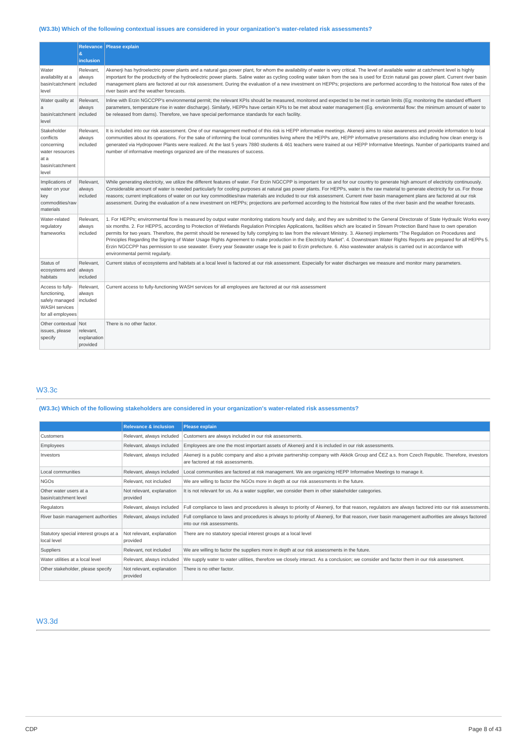## **(W3.3b) Which of the following contextual issues are considered in your organization's water-related risk assessments?**

|                                                                                                 | Ŕ.<br>inclusion                             | Relevance   Please explain                                                                                                                                                                                                                                                                                                                                                                                                                                                                                                                                                                                                                                                                                                                                                                                                                                                                                                                             |
|-------------------------------------------------------------------------------------------------|---------------------------------------------|--------------------------------------------------------------------------------------------------------------------------------------------------------------------------------------------------------------------------------------------------------------------------------------------------------------------------------------------------------------------------------------------------------------------------------------------------------------------------------------------------------------------------------------------------------------------------------------------------------------------------------------------------------------------------------------------------------------------------------------------------------------------------------------------------------------------------------------------------------------------------------------------------------------------------------------------------------|
| Water<br>availability at a<br>basin/catchment<br>level                                          | Relevant.<br>always<br>included             | Akenerji has hydroelectric power plants and a natural gas power plant, for whom the availability of water is very critical. The level of available water at catchment level is highly<br>important for the productivity of the hydroelectric power plants. Saline water as cycling cooling water taken from the sea is used for Erzin natural gas power plant. Current river basin<br>management plans are factored at our risk assessment. During the evaluation of a new investment on HEPPs; projections are performed according to the historical flow rates of the<br>river basin and the weather forecasts.                                                                                                                                                                                                                                                                                                                                      |
| Water quality at<br>a<br>basin/catchment<br>level                                               | Relevant.<br>always<br>included             | Inline with Erzin NGCCPP's environmental permit; the relevant KPIs should be measured, monitored and expected to be met in certain limits (Eq; monitoring the standard effluent<br>parameters, temperature rise in water discharge). Similarly, HEPPs have certain KPIs to be met about water management (Eq. environmental flow: the minimum amount of water to<br>be released from dams). Therefore, we have special performance standards for each facility.                                                                                                                                                                                                                                                                                                                                                                                                                                                                                        |
| Stakeholder<br>conflicts<br>concerning<br>water resources<br>at a<br>basin/catchment<br>level   | Relevant.<br>always<br>included             | It is included into our risk assessment. One of our management method of this risk is HEPP informative meetings. Akenerji aims to raise awareness and provide information to local<br>communities about its operations. For the sake of informing the local communities living where the HEPPs are, HEPP informative presentations also including how clean energy is<br>generated via Hydropower Plants were realized. At the last 5 years 7880 students & 461 teachers were trained at our HEPP Informative Meetings. Number of participants trained and<br>number of informative meetings organized are of the measures of success.                                                                                                                                                                                                                                                                                                                 |
| Implications of<br>water on your<br>key<br>commodities/raw<br>materials                         | Relevant,<br>always<br>included             | While generating electricity, we utilize the different features of water. For Erzin NGCCPP is important for us and for our country to generate high amount of electricity continuously.<br>Considerable amount of water is needed particularly for cooling purposes at natural gas power plants. For HEPPs, water is the raw material to generate electricity for us. For those<br>reasons; current implications of water on our key commodities/raw materials are included to our risk assessment. Current river basin management plans are factored at our risk<br>assessment. During the evaluation of a new investment on HEPPs; projections are performed according to the historical flow rates of the river basin and the weather forecasts.                                                                                                                                                                                                    |
| Water-related<br>regulatory<br>frameworks                                                       | Relevant,<br>always<br>included             | 1. For HEPPs; environmental flow is measured by output water monitoring stations hourly and daily, and they are submitted to the General Directorate of State Hydraulic Works every<br>six months. 2. For HEPPS, according to Protection of Wetlands Regulation Principles Applications, facilities which are located in Stream Protection Band have to own operation<br>permits for two years. Therefore, the permit should be renewed by fully complying to law from the relevant Ministry. 3. Akenerji implements "The Regulation on Procedures and<br>Principles Regarding the Signing of Water Usage Rights Agreement to make production in the Electricity Market". 4. Downstream Water Rights Reports are prepared for all HEPPs 5.<br>Erzin NGCCPP has permission to use seawater. Every year Seawater usage fee is paid to Erzin prefecture. 6. Also wastewater analysis is carried out in accordance with<br>environmental permit regularly. |
| Status of<br>ecosystems and<br>habitats                                                         | Relevant,<br>always<br>included             | Current status of ecosystems and habitats at a local level is factored at our risk assessment. Especially for water discharges we measure and monitor many parameters.                                                                                                                                                                                                                                                                                                                                                                                                                                                                                                                                                                                                                                                                                                                                                                                 |
| Access to fully-<br>functioning,<br>safely managed<br><b>WASH</b> services<br>for all employees | Relevant,<br>always<br>included             | Current access to fully-functioning WASH services for all employees are factored at our risk assessment                                                                                                                                                                                                                                                                                                                                                                                                                                                                                                                                                                                                                                                                                                                                                                                                                                                |
| Other contextual<br>issues, please<br>specify                                                   | Not<br>relevant,<br>explanation<br>provided | There is no other factor.                                                                                                                                                                                                                                                                                                                                                                                                                                                                                                                                                                                                                                                                                                                                                                                                                                                                                                                              |

## W3.3c

## **(W3.3c) Which of the following stakeholders are considered in your organization's water-related risk assessments?**

|                                                       | <b>Relevance &amp; inclusion</b>      | Please explain                                                                                                                                                                   |
|-------------------------------------------------------|---------------------------------------|----------------------------------------------------------------------------------------------------------------------------------------------------------------------------------|
| Customers                                             | Relevant, always included             | Customers are always included in our risk assessments.                                                                                                                           |
| Employees                                             | Relevant, always included             | Employees are one the most important assets of Akenerji and it is included in our risk assessments.                                                                              |
| Investors                                             | Relevant, always included             | Akenerji is a public company and also a private partnership company with Akkök Group and ČEZ a.s. from Czech Republic. Therefore, investors<br>are factored at risk assessments. |
| Local communities                                     | Relevant, always included             | Local communities are factored at risk management. We are organizing HEPP Informative Meetings to manage it.                                                                     |
| <b>NGOS</b>                                           | Relevant, not included                | We are willing to factor the NGOs more in depth at our risk assessments in the future.                                                                                           |
| Other water users at a<br>basin/catchment level       | Not relevant, explanation<br>provided | It is not relevant for us. As a water supplier, we consider them in other stakeholder categories.                                                                                |
| Regulators                                            | Relevant, always included             | Full compliance to laws and procedures is always to priority of Akenerji, for that reason, requlators are always factored into our risk assessments.                             |
| River basin management authorities                    | Relevant, always included             | Full compliance to laws and procedures is always to priority of Akenerji, for that reason, river basin management authorities are always factored<br>into our risk assessments.  |
| Statutory special interest groups at a<br>local level | Not relevant, explanation<br>provided | There are no statutory special interest groups at a local level                                                                                                                  |
| Suppliers                                             | Relevant, not included                | We are willing to factor the suppliers more in depth at our risk assessments in the future.                                                                                      |
| Water utilities at a local level                      | Relevant, always included             | We supply water to water utilities, therefore we closely interact. As a conclusion; we consider and factor them in our risk assessment.                                          |
| Other stakeholder, please specify                     | Not relevant, explanation<br>provided | There is no other factor.                                                                                                                                                        |

## W3.3d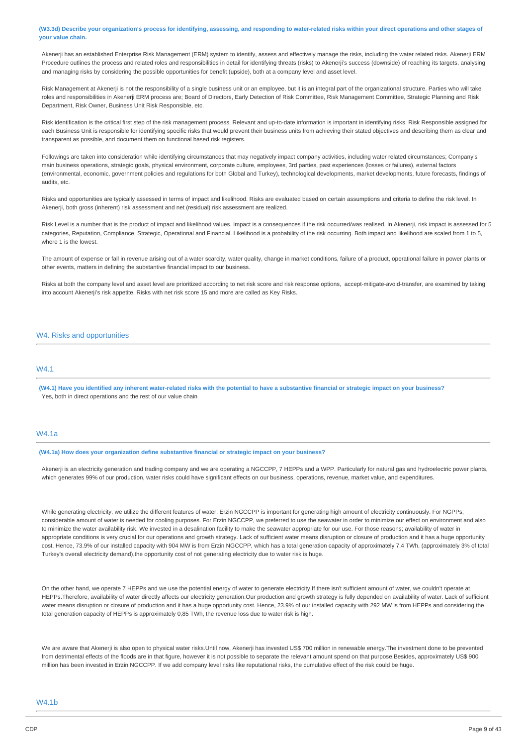(W3.3d) Describe your organization's process for identifying, assessing, and responding to water-related risks within your direct operations and other stages of **your value chain.**

Akenerji has an established Enterprise Risk Management (ERM) system to identify, assess and effectively manage the risks, including the water related risks. Akenerji ERM Procedure outlines the process and related roles and responsibilities in detail for identifying threats (risks) to Akenerji's success (downside) of reaching its targets, analysing and managing risks by considering the possible opportunities for benefit (upside), both at a company level and asset level.

Risk Management at Akenerji is not the responsibility of a single business unit or an employee, but it is an integral part of the organizational structure. Parties who will take roles and responsibilities in Akenerji ERM process are; Board of Directors, Early Detection of Risk Committee, Risk Management Committee, Strategic Planning and Risk Department, Risk Owner, Business Unit Risk Responsible, etc.

Risk identification is the critical first step of the risk management process. Relevant and up-to-date information is important in identifying risks. Risk Responsible assigned for each Business Unit is responsible for identifying specific risks that would prevent their business units from achieving their stated objectives and describing them as clear and transparent as possible, and document them on functional based risk registers.

Followings are taken into consideration while identifying circumstances that may negatively impact company activities, including water related circumstances; Company's main business operations, strategic goals, physical environment, corporate culture, employees, 3rd parties, past experiences (losses or failures), external factors (environmental, economic, government policies and regulations for both Global and Turkey), technological developments, market developments, future forecasts, findings of audits, etc.

Risks and opportunities are typically assessed in terms of impact and likelihood. Risks are evaluated based on certain assumptions and criteria to define the risk level. In Akenerji, both gross (inherent) risk assessment and net (residual) risk assessment are realized.

Risk Level is a number that is the product of impact and likelihood values. Impact is a consequences if the risk occurred/was realised. In Akenerii, risk impact is assessed for 5 categories, Reputation, Compliance, Strategic, Operational and Financial. Likelihood is a probability of the risk occurring. Both impact and likelihood are scaled from 1 to 5, where 1 is the lowest.

The amount of expense or fall in revenue arising out of a water scarcity, water quality, change in market conditions, failure of a product, operational failure in power plants or other events, matters in defining the substantive financial impact to our business.

Risks at both the company level and asset level are prioritized according to net risk score and risk response options, accept-mitigate-avoid-transfer, are examined by taking into account Akenerji's risk appetite. Risks with net risk score 15 and more are called as Key Risks.

### W4. Risks and opportunities

### **MA1**

(W4.1) Have you identified any inherent water-related risks with the potential to have a substantive financial or strategic impact on your business? Yes, both in direct operations and the rest of our value chain

### W4.1a

**(W4.1a) How does your organization define substantive financial or strategic impact on your business?**

Akenerji is an electricity generation and trading company and we are operating a NGCCPP, 7 HEPPs and a WPP. Particularly for natural gas and hydroelectric power plants, which generates 99% of our production, water risks could have significant effects on our business, operations, revenue, market value, and expenditures.

While generating electricity, we utilize the different features of water. Erzin NGCCPP is important for generating high amount of electricity continuously. For NGPPs; considerable amount of water is needed for cooling purposes. For Erzin NGCCPP, we preferred to use the seawater in order to minimize our effect on environment and also to minimize the water availability risk. We invested in a desalination facility to make the seawater appropriate for our use. For those reasons; availability of water in appropriate conditions is very crucial for our operations and growth strategy. Lack of sufficient water means disruption or closure of production and it has a huge opportunity cost. Hence, 73.9% of our installed capacity with 904 MW is from Erzin NGCCPP, which has a total generation capacity of approximately 7.4 TWh, (approximately 3% of total Turkey's overall electricity demand),the opportunity cost of not generating electricity due to water risk is huge.

On the other hand, we operate 7 HEPPs and we use the potential energy of water to generate electricity.If there isn't sufficient amount of water, we couldn't operate at HEPPs.Therefore, availability of water directly affects our electricity generation.Our production and growth strategy is fully depended on availability of water. Lack of sufficient water means disruption or closure of production and it has a huge opportunity cost. Hence, 23.9% of our installed capacity with 292 MW is from HEPPs and considering the total generation capacity of HEPPs is approximately 0,85 TWh, the revenue loss due to water risk is high.

We are aware that Akenerji is also open to physical water risks.Until now, Akenerji has invested US\$ 700 million in renewable energy.The investment done to be prevented from detrimental effects of the floods are in that figure, however it is not possible to separate the relevant amount spend on that purpose.Besides, approximately US\$ 900 million has been invested in Erzin NGCCPP. If we add company level risks like reputational risks, the cumulative effect of the risk could be huge.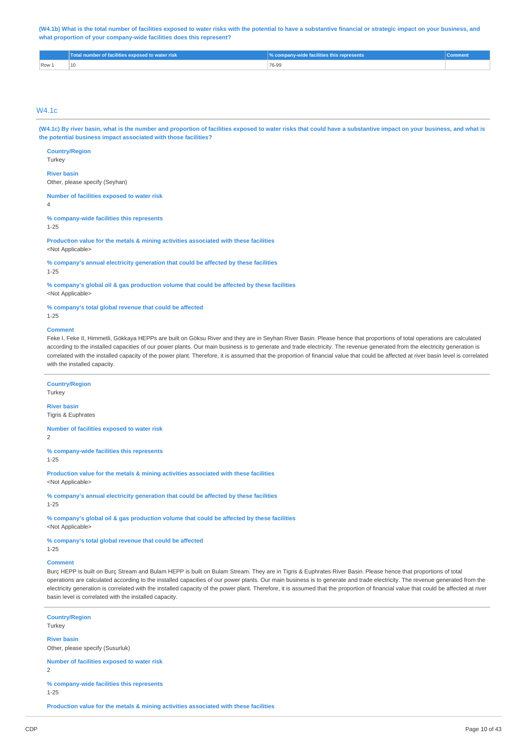(W4.1b) What is the total number of facilities exposed to water risks with the potential to have a substantive financial or strategic impact on your business, and **what proportion of your company-wide facilities does this represent?**

|         | Total number of facilities exposed to water risk | <b>% company-wide facilities this represents</b> |  |
|---------|--------------------------------------------------|--------------------------------------------------|--|
| $Row_1$ |                                                  | 76-99                                            |  |

## W4.1c

(W4.1c) By river basin, what is the number and proportion of facilities exposed to water risks that could have a substantive impact on your business, and what is **the potential business impact associated with those facilities?**

**Country/Region Turkey** 

**River basin**

Other, please specify (Seyhan)

**Number of facilities exposed to water risk**

4

**% company-wide facilities this represents** 1-25

**Production value for the metals & mining activities associated with these facilities** <Not Applicable>

**% company's annual electricity generation that could be affected by these facilities**

1-25

**% company's global oil & gas production volume that could be affected by these facilities** <Not Applicable>

**% company's total global revenue that could be affected**

1-25

#### **Comment**

Feke I, Feke II, Himmetli, Gökkaya HEPPs are built on Göksu River and they are in Seyhan River Basin. Please hence that proportions of total operations are calculated according to the installed capacities of our power plants. Our main business is to generate and trade electricity. The revenue generated from the electricity generation is correlated with the installed capacity of the power plant. Therefore, it is assumed that the proportion of financial value that could be affected at river basin level is correlated with the installed capacity.

#### **Country/Region**

Turkey

**River basin** Tigris & Euphrates

**Number of facilities exposed to water risk**

2

**% company-wide facilities this represents**

1-25

**Production value for the metals & mining activities associated with these facilities** <Not Applicable>

**% company's annual electricity generation that could be affected by these facilities** 1-25

**% company's global oil & gas production volume that could be affected by these facilities** <Not Applicable>

**% company's total global revenue that could be affected**

## 1-25

### **Comment**

Burç HEPP is built on Burç Stream and Bulam HEPP is built on Bulam Stream. They are in Tigris & Euphrates River Basin. Please hence that proportions of total operations are calculated according to the installed capacities of our power plants. Our main business is to generate and trade electricity. The revenue generated from the electricity generation is correlated with the installed capacity of the power plant. Therefore, it is assumed that the proportion of financial value that could be affected at river basin level is correlated with the installed capacity.

**Country/Region**

Turkey **River basin** Other, please specify (Susurluk)

**Number of facilities exposed to water risk**  $\overline{2}$ 

**% company-wide facilities this represents**

1-25

**Production value for the metals & mining activities associated with these facilities**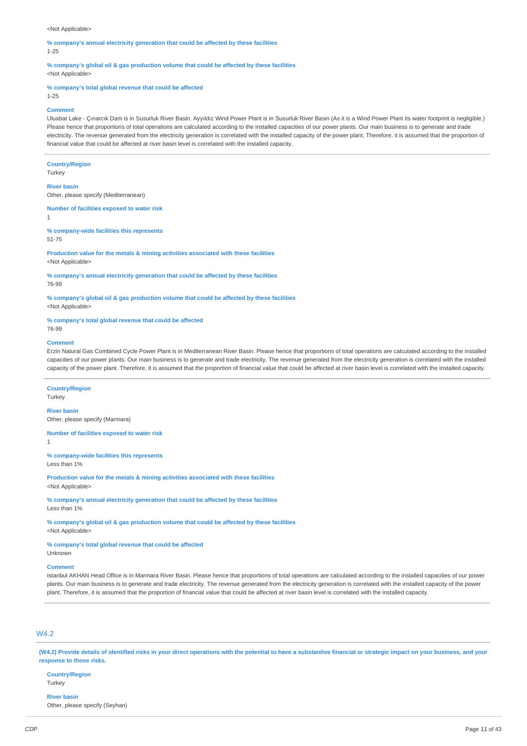#### <Not Applicable>

**% company's annual electricity generation that could be affected by these facilities** 1-25

**% company's global oil & gas production volume that could be affected by these facilities** <Not Applicable>

#### **% company's total global revenue that could be affected**

1-25

#### **Comment**

Uluabat Lake - Çınarcık Dam is in Susurluk River Basin. Ayyıldız Wind Power Plant is in Susurluk River Basin (As it is a Wind Power Plant its water footprint is negligible.) Please hence that proportions of total operations are calculated according to the installed capacities of our power plants. Our main business is to generate and trade electricity. The revenue generated from the electricity generation is correlated with the installed capacity of the power plant. Therefore, it is assumed that the proportion of financial value that could be affected at river basin level is correlated with the installed capacity.

#### **Country/Region**

**Turkey** 

#### **River basin**

Other, please specify (Mediterranean)

**Number of facilities exposed to water risk** 1

#### **% company-wide facilities this represents**

51-75

**Production value for the metals & mining activities associated with these facilities** <Not Applicable>

**% company's annual electricity generation that could be affected by these facilities** 76-99

**% company's global oil & gas production volume that could be affected by these facilities** <Not Applicable>

## **% company's total global revenue that could be affected**

76-99

#### **Comment**

Erzin Natural Gas Combined Cycle Power Plant is in Mediterranean River Basin. Please hence that proportions of total operations are calculated according to the installed capacities of our power plants. Our main business is to generate and trade electricity. The revenue generated from the electricity generation is correlated with the installed capacity of the power plant. Therefore, it is assumed that the proportion of financial value that could be affected at river basin level is correlated with the installed capacity.

#### **Country/Region**

**Turkey** 

### **River basin**

Other, please specify (Marmara)

## **Number of facilities exposed to water risk**

1

**% company-wide facilities this represents** Less than 1%

**Production value for the metals & mining activities associated with these facilities** <Not Applicable>

**% company's annual electricity generation that could be affected by these facilities** Less than 1%

**% company's global oil & gas production volume that could be affected by these facilities** <Not Applicable>

**% company's total global revenue that could be affected**

Unknown

### **Comment**

Istanbul AKHAN Head Office is in Marmara River Basin. Please hence that proportions of total operations are calculated according to the installed capacities of our power plants. Our main business is to generate and trade electricity. The revenue generated from the electricity generation is correlated with the installed capacity of the power plant. Therefore, it is assumed that the proportion of financial value that could be affected at river basin level is correlated with the installed capacity.

## W4.2

(W4.2) Provide details of identified risks in your direct operations with the potential to have a substantive financial or strategic impact on your business, and your **response to those risks.**

### **Country/Region**

**Turkey** 

### **River basin**

Other, please specify (Seyhan)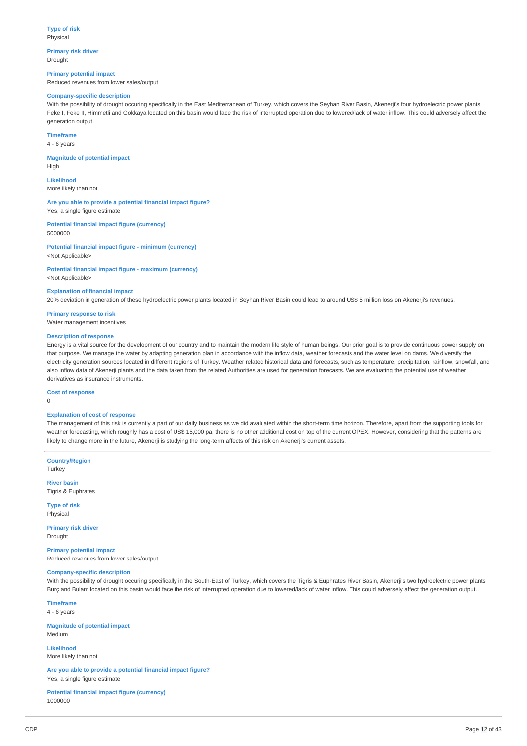**Primary risk driver** Drought

**Primary potential impact** Reduced revenues from lower sales/output

#### **Company-specific description**

With the possibility of drought occuring specifically in the East Mediterranean of Turkey, which covers the Seyhan River Basin, Akenerji's four hydroelectric power plants Feke I, Feke II, Himmetli and Gokkaya located on this basin would face the risk of interrupted operation due to lowered/lack of water inflow. This could adversely affect the generation output.

#### **Timeframe**

4 - 6 years

**Magnitude of potential impact** High

**Likelihood** More likely than not

**Are you able to provide a potential financial impact figure?** Yes, a single figure estimate

**Potential financial impact figure (currency)** 5000000

**Potential financial impact figure - minimum (currency)** <Not Applicable>

**Potential financial impact figure - maximum (currency)** <Not Applicable>

#### **Explanation of financial impact**

20% deviation in generation of these hydroelectric power plants located in Seyhan River Basin could lead to around US\$ 5 million loss on Akenerji's revenues.

**Primary response to risk**

Water management incentives

## **Description of response**

Energy is a vital source for the development of our country and to maintain the modern life style of human beings. Our prior goal is to provide continuous power supply on that purpose. We manage the water by adapting generation plan in accordance with the inflow data, weather forecasts and the water level on dams. We diversify the electricity generation sources located in different regions of Turkey. Weather related historical data and forecasts, such as temperature, precipitation, rainflow, snowfall, and also inflow data of Akenerji plants and the data taken from the related Authorities are used for generation forecasts. We are evaluating the potential use of weather derivatives as insurance instruments.

**Cost of response**

 $\theta$ 

#### **Explanation of cost of response**

The management of this risk is currently a part of our daily business as we did avaluated within the short-term time horizon. Therefore, apart from the supporting tools for weather forecasting, which roughly has a cost of US\$ 15,000 pa, there is no other additional cost on top of the current OPEX. However, considering that the patterns are likely to change more in the future, Akenerji is studying the long-term affects of this risk on Akenerji's current assets.

**Country/Region** Turkey

**River basin** Tigris & Euphrates

**Type of risk**

Physical

**Primary risk driver** Drought

**Primary potential impact** Reduced revenues from lower sales/output

#### **Company-specific description**

With the possibility of drought occuring specifically in the South-East of Turkey, which covers the Tigris & Euphrates River Basin, Akenerji's two hydroelectric power plants Burç and Bulam located on this basin would face the risk of interrupted operation due to lowered/lack of water inflow. This could adversely affect the generation output.

**Timeframe** 4 - 6 years

**Magnitude of potential impact** Medium

**Likelihood** More likely than not

**Are you able to provide a potential financial impact figure?** Yes, a single figure estimate

**Potential financial impact figure (currency)** 1000000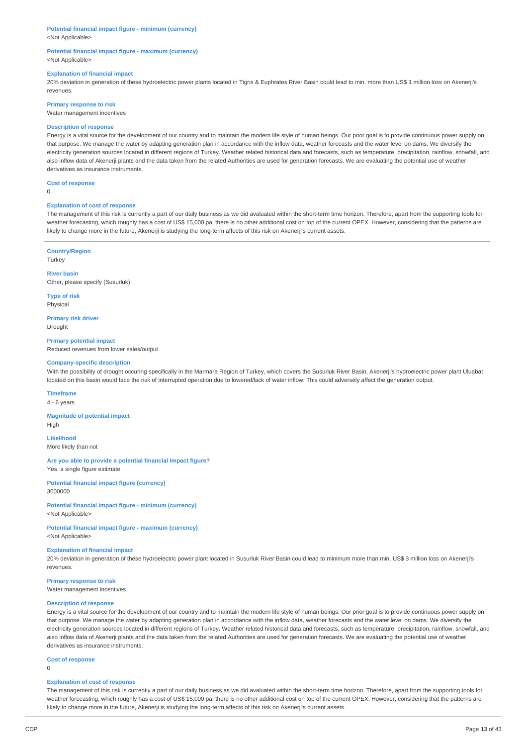## **Potential financial impact figure - minimum (currency)**

<Not Applicable>

#### **Potential financial impact figure - maximum (currency)** <Not Applicable>

#### **Explanation of financial impact**

20% deviation in generation of these hydroelectric power plants located in Tigris & Euphrates River Basin could lead to min. more than US\$ 1 million loss on Akenerji's revenues.

**Primary response to risk**

Water management incentives

#### **Description of response**

Energy is a vital source for the development of our country and to maintain the modern life style of human beings. Our prior goal is to provide continuous power supply on that purpose. We manage the water by adapting generation plan in accordance with the inflow data, weather forecasts and the water level on dams. We diversify the electricity generation sources located in different regions of Turkey. Weather related historical data and forecasts, such as temperature, precipitation, rainflow, snowfall, and also inflow data of Akenerji plants and the data taken from the related Authorities are used for generation forecasts. We are evaluating the potential use of weather derivatives as insurance instruments.

#### **Cost of response**

 $\Omega$ 

#### **Explanation of cost of response**

The management of this risk is currently a part of our daily business as we did avaluated within the short-term time horizon. Therefore, apart from the supporting tools for weather forecasting, which roughly has a cost of US\$ 15,000 pa, there is no other additional cost on top of the current OPEX. However, considering that the patterns are likely to change more in the future, Akenerji is studying the long-term affects of this risk on Akenerji's current assets.

#### **Country/Region Turkey**

**River basin** Other, please specify (Susurluk)

**Type of risk** Physical

**Primary risk driver** Drought

**Primary potential impact** Reduced revenues from lower sales/output

#### **Company-specific description**

With the possibility of drought occuring specifically in the Marmara Region of Turkey, which covers the Susurluk River Basin, Akenerii's hydroelectric power plant Uluabat located on this basin would face the risk of interrupted operation due to lowered/lack of water inflow. This could adversely affect the generation output.

#### **Timeframe**

4 - 6 years

**Magnitude of potential impact**

High

**Likelihood** More likely than not

**Are you able to provide a potential financial impact figure?** Yes, a single figure estimate

**Potential financial impact figure (currency)** 3000000

**Potential financial impact figure - minimum (currency)** <Not Applicable>

**Potential financial impact figure - maximum (currency)** <Not Applicable>

#### **Explanation of financial impact**

20% deviation in generation of these hydroelectric power plant located in Susurluk River Basin could lead to minimum more than min. US\$ 3 million loss on Akenerji's revenues.

#### **Primary response to risk**

Water management incentives

#### **Description of response**

Energy is a vital source for the development of our country and to maintain the modern life style of human beings. Our prior goal is to provide continuous power supply on that purpose. We manage the water by adapting generation plan in accordance with the inflow data, weather forecasts and the water level on dams. We diversify the electricity generation sources located in different regions of Turkey. Weather related historical data and forecasts, such as temperature, precipitation, rainflow, snowfall, and also inflow data of Akenerji plants and the data taken from the related Authorities are used for generation forecasts. We are evaluating the potential use of weather derivatives as insurance instruments.

#### **Cost of response**

 $\Omega$ 

#### **Explanation of cost of response**

The management of this risk is currently a part of our daily business as we did avaluated within the short-term time horizon. Therefore, apart from the supporting tools for weather forecasting, which roughly has a cost of US\$ 15,000 pa, there is no other additional cost on top of the current OPEX. However, considering that the patterns are likely to change more in the future, Akenerji is studying the long-term affects of this risk on Akenerji's current assets.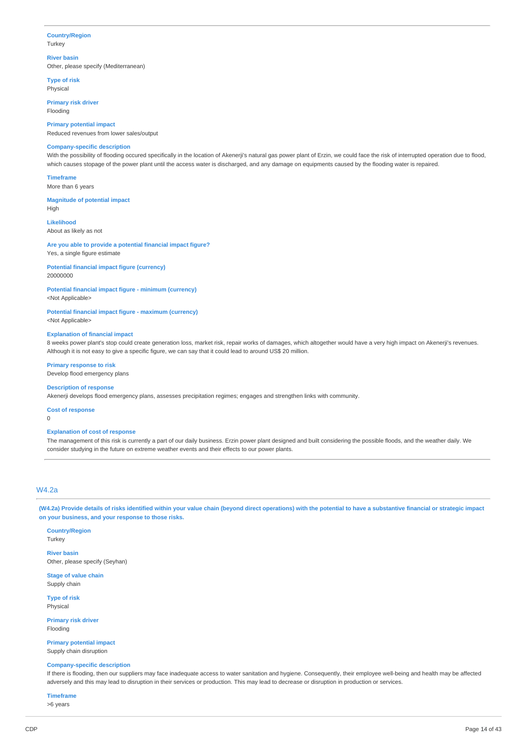#### **Country/Region Turkey**

### **River basin**

Other, please specify (Mediterranean)

**Type of risk** Physical

**Primary risk driver**

Flooding

**Primary potential impact**

## Reduced revenues from lower sales/output

## **Company-specific description**

With the possibility of flooding occured specifically in the location of Akenerji's natural gas power plant of Erzin, we could face the risk of interrupted operation due to flood, which causes stopage of the power plant until the access water is discharged, and any damage on equipments caused by the flooding water is repaired.

**Timeframe**

More than 6 years

#### **Magnitude of potential impact**

High

**Likelihood**

About as likely as not

#### **Are you able to provide a potential financial impact figure?**

Yes, a single figure estimate

### **Potential financial impact figure (currency)** 20000000

**Potential financial impact figure - minimum (currency)**

<Not Applicable>

## **Potential financial impact figure - maximum (currency)**

<Not Applicable>

### **Explanation of financial impact**

8 weeks power plant's stop could create generation loss, market risk, repair works of damages, which altogether would have a very high impact on Akenerji's revenues. Although it is not easy to give a specific figure, we can say that it could lead to around US\$ 20 million.

### **Primary response to risk**

Develop flood emergency plans

#### **Description of response**

Akenerji develops flood emergency plans, assesses precipitation regimes; engages and strengthen links with community.

**Cost of response**

#### $\theta$

#### **Explanation of cost of response**

The management of this risk is currently a part of our daily business. Erzin power plant designed and built considering the possible floods, and the weather daily. We consider studying in the future on extreme weather events and their effects to our power plants.

## W4.2a

(W4.2a) Provide details of risks identified within your value chain (beyond direct operations) with the potential to have a substantive financial or strategic impact **on your business, and your response to those risks.**

**Country/Region Turkey** 

**River basin** Other, please specify (Seyhan)

**Stage of value chain** Supply chain

**Type of risk** Physical

**Primary risk driver** Flooding

**Primary potential impact** Supply chain disruption

## **Company-specific description**

If there is flooding, then our suppliers may face inadequate access to water sanitation and hygiene. Consequently, their employee well-being and health may be affected adversely and this may lead to disruption in their services or production. This may lead to decrease or disruption in production or services.

### **Timeframe**

>6 years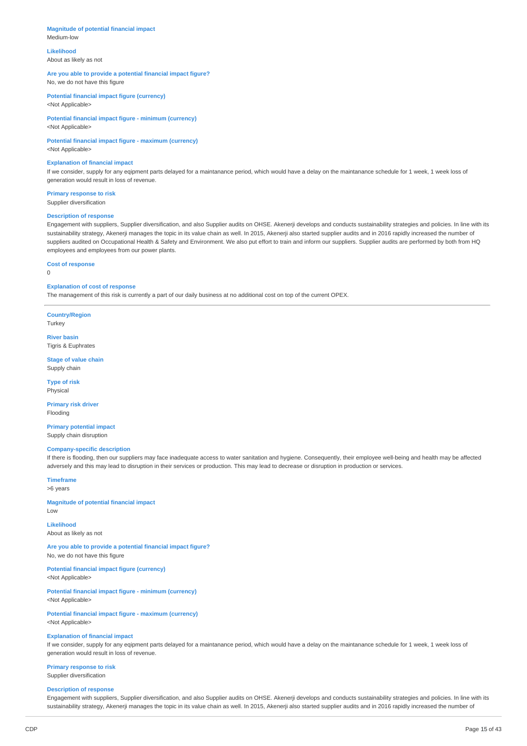#### **Magnitude of potential financial impact** Medium-low

**Likelihood** About as likely as not

### **Are you able to provide a potential financial impact figure?** No, we do not have this figure

**Potential financial impact figure (currency)** <Not Applicable>

**Potential financial impact figure - minimum (currency)** <Not Applicable>

## **Potential financial impact figure - maximum (currency)**

<Not Applicable>

#### **Explanation of financial impact**

If we consider, supply for any eqipment parts delayed for a maintanance period, which would have a delay on the maintanance schedule for 1 week, 1 week loss of generation would result in loss of revenue.

**Primary response to risk** Supplier diversification

## **Description of response**

Engagement with suppliers, Supplier diversification, and also Supplier audits on OHSE. Akenerji develops and conducts sustainability strategies and policies. In line with its sustainability strategy, Akenerji manages the topic in its value chain as well. In 2015, Akenerji also started supplier audits and in 2016 rapidly increased the number of suppliers audited on Occupational Health & Safety and Environment. We also put effort to train and inform our suppliers. Supplier audits are performed by both from HO employees and employees from our power plants.

**Cost of response**

## $\Omega$

## **Explanation of cost of response**

The management of this risk is currently a part of our daily business at no additional cost on top of the current OPEX.

**Country/Region** Turkey

**River basin** Tigris & Euphrates

**Stage of value chain** Supply chain

**Type of risk** Physical

**Primary risk driver** Flooding

**Primary potential impact** Supply chain disruption

### **Company-specific description**

If there is flooding, then our suppliers may face inadequate access to water sanitation and hygiene. Consequently, their employee well-being and health may be affected adversely and this may lead to disruption in their services or production. This may lead to decrease or disruption in production or services.

**Timeframe** >6 years

**Magnitude of potential financial impact** Low

## **Likelihood**

About as likely as not

**Are you able to provide a potential financial impact figure?** No, we do not have this figure

#### **Potential financial impact figure (currency)**

<Not Applicable>

**Potential financial impact figure - minimum (currency)**

<Not Applicable>

**Potential financial impact figure - maximum (currency)** <Not Applicable>

#### **Explanation of financial impact**

If we consider, supply for any eqipment parts delayed for a maintanance period, which would have a delay on the maintanance schedule for 1 week, 1 week loss of generation would result in loss of revenue.

## **Primary response to risk**

Supplier diversification

## **Description of response**

Engagement with suppliers, Supplier diversification, and also Supplier audits on OHSE. Akenerji develops and conducts sustainability strategies and policies. In line with its sustainability strategy, Akenerji manages the topic in its value chain as well. In 2015, Akenerji also started supplier audits and in 2016 rapidly increased the number of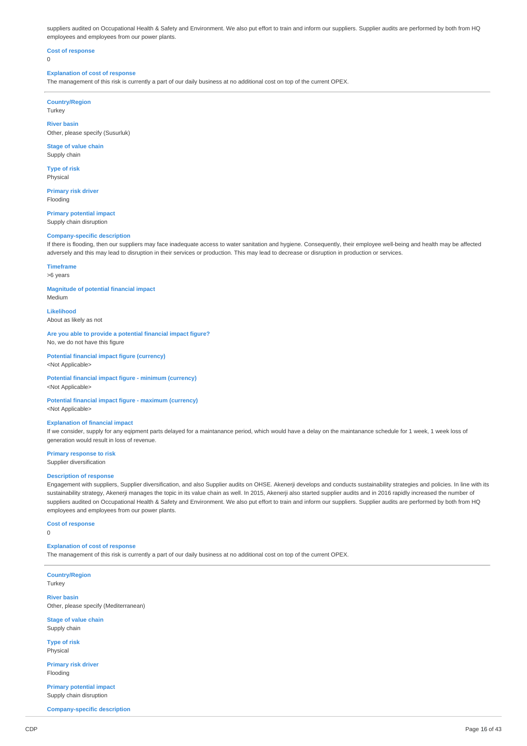suppliers audited on Occupational Health & Safety and Environment. We also put effort to train and inform our suppliers. Supplier audits are performed by both from HQ employees and employees from our power plants.

## **Cost of response**

 $\Omega$ 

#### **Explanation of cost of response**

The management of this risk is currently a part of our daily business at no additional cost on top of the current OPEX.

### **Country/Region**

Turkey

**River basin** Other, please specify (Susurluk)

## **Stage of value chain**

Supply chain **Type of risk**

Physical

**Primary risk driver** Flooding

**Primary potential impact** Supply chain disruption

#### **Company-specific description**

If there is flooding, then our suppliers may face inadequate access to water sanitation and hygiene. Consequently, their employee well-being and health may be affected adversely and this may lead to disruption in their services or production. This may lead to decrease or disruption in production or services.

## **Timeframe**

>6 years

**Magnitude of potential financial impact** Medium

**Likelihood**

About as likely as not

**Are you able to provide a potential financial impact figure?** No, we do not have this figure

**Potential financial impact figure (currency)** <Not Applicable>

**Potential financial impact figure - minimum (currency)** <Not Applicable>

#### **Potential financial impact figure - maximum (currency)** <Not Applicable>

## **Explanation of financial impact**

If we consider, supply for any eqipment parts delayed for a maintanance period, which would have a delay on the maintanance schedule for 1 week, 1 week loss of generation would result in loss of revenue.

**Primary response to risk** Supplier diversification

## **Description of response**

Engagement with suppliers, Supplier diversification, and also Supplier audits on OHSE. Akenerji develops and conducts sustainability strategies and policies. In line with its sustainability strategy, Akenerji manages the topic in its value chain as well. In 2015, Akenerji also started supplier audits and in 2016 rapidly increased the number of suppliers audited on Occupational Health & Safety and Environment. We also put effort to train and inform our suppliers. Supplier audits are performed by both from HQ employees and employees from our power plants.

#### **Cost of response**

0

### **Explanation of cost of response**

The management of this risk is currently a part of our daily business at no additional cost on top of the current OPEX.

**Country/Region Turkey** 

**River basin** Other, please specify (Mediterranean)

**Stage of value chain** Supply chain

**Type of risk** Physical

**Primary risk driver** Flooding

**Primary potential impact** Supply chain disruption

**Company-specific description**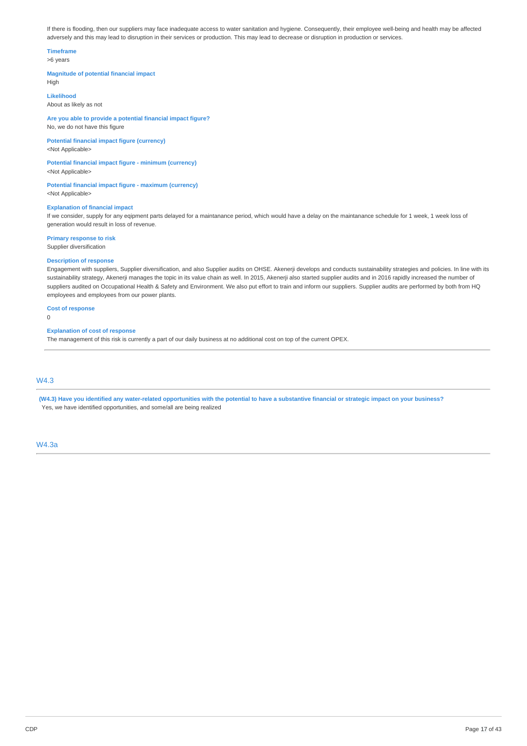If there is flooding, then our suppliers may face inadequate access to water sanitation and hygiene. Consequently, their employee well-being and health may be affected adversely and this may lead to disruption in their services or production. This may lead to decrease or disruption in production or services.

## **Timeframe**

### >6 years

#### **Magnitude of potential financial impact**

High

**Likelihood**

About as likely as not

**Are you able to provide a potential financial impact figure?** No, we do not have this figure

**Potential financial impact figure (currency)** <Not Applicable>

**Potential financial impact figure - minimum (currency)** <Not Applicable>

**Potential financial impact figure - maximum (currency)** <Not Applicable>

### **Explanation of financial impact**

If we consider, supply for any eqipment parts delayed for a maintanance period, which would have a delay on the maintanance schedule for 1 week, 1 week loss of generation would result in loss of revenue.

**Primary response to risk**

Supplier diversification

## **Description of response**

Engagement with suppliers, Supplier diversification, and also Supplier audits on OHSE. Akenerji develops and conducts sustainability strategies and policies. In line with its sustainability strategy, Akenerji manages the topic in its value chain as well. In 2015, Akenerji also started supplier audits and in 2016 rapidly increased the number of suppliers audited on Occupational Health & Safety and Environment. We also put effort to train and inform our suppliers. Supplier audits are performed by both from HQ employees and employees from our power plants.

### **Cost of response**

 $\Omega$ 

## **Explanation of cost of response**

The management of this risk is currently a part of our daily business at no additional cost on top of the current OPEX.

## W4.3

(W4.3) Have you identified any water-related opportunities with the potential to have a substantive financial or strategic impact on your business? Yes, we have identified opportunities, and some/all are being realized

W4.3a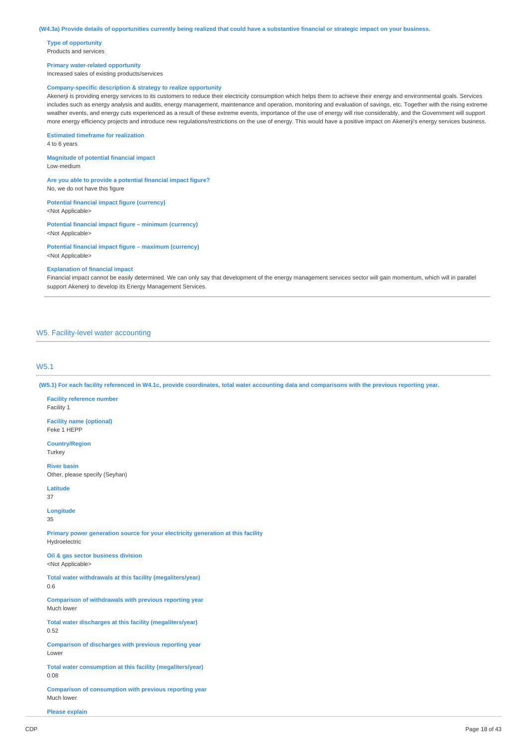**Type of opportunity** Products and services

#### **Primary water-related opportunity**

Increased sales of existing products/services

#### **Company-specific description & strategy to realize opportunity**

Akenerji is providing energy services to its customers to reduce their electricity consumption which helps them to achieve their energy and environmental goals. Services includes such as energy analysis and audits, energy management, maintenance and operation, monitoring and evaluation of savings, etc. Together with the rising extreme weather events, and energy cuts experienced as a result of these extreme events, importance of the use of energy will rise considerably, and the Government will support more energy efficiency projects and introduce new regulations/restrictions on the use of energy. This would have a positive impact on Akenerji's energy services business.

#### **Estimated timeframe for realization**

4 to 6 years

**Magnitude of potential financial impact** Low-medium

**Are you able to provide a potential financial impact figure?** No, we do not have this figure

**Potential financial impact figure (currency)** <Not Applicable>

**Potential financial impact figure – minimum (currency)** <Not Applicable>

**Potential financial impact figure – maximum (currency)** <Not Applicable>

#### **Explanation of financial impact**

Financial impact cannot be easily determined. We can only say that development of the energy management services sector will gain momentum, which will in parallel support Akenerji to develop its Energy Management Services.

### W5. Facility-level water accounting

### W5.1

(W5.1) For each facility referenced in W4.1c, provide coordinates, total water accounting data and comparisons with the previous reporting year.

**Facility reference number** Facility 1

**Facility name (optional)** Feke 1 HEPP

**Country/Region Turkey** 

**River basin** Other, please specify (Seyhan)

**Latitude**

37

#### **Longitude** 35

**Primary power generation source for your electricity generation at this facility** Hydroelectric

**Oil & gas sector business division** <Not Applicable>

**Total water withdrawals at this facility (megaliters/year)** 0.6

**Comparison of withdrawals with previous reporting year** Much lower

**Total water discharges at this facility (megaliters/year)** 0.52

**Comparison of discharges with previous reporting year** Lower

**Total water consumption at this facility (megaliters/year)** 0.08

**Comparison of consumption with previous reporting year** Much lower

**Please explain**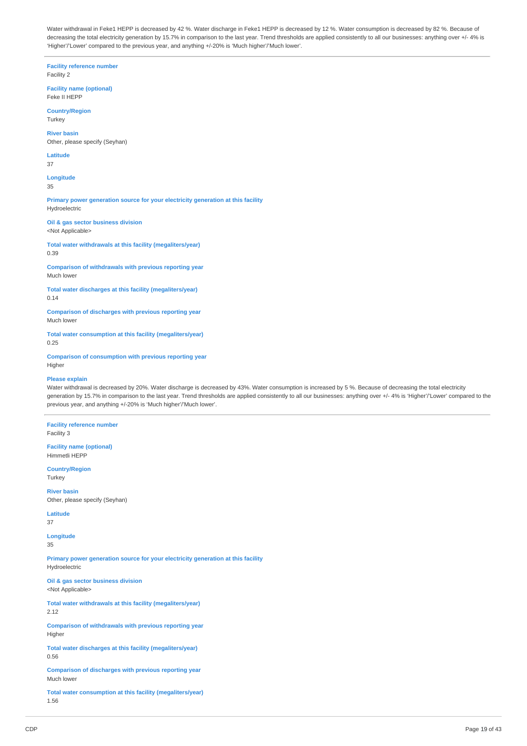Water withdrawal in Feke1 HEPP is decreased by 42 %. Water discharge in Feke1 HEPP is decreased by 12 %. Water consumption is decreased by 82 %. Because of decreasing the total electricity generation by 15.7% in comparison to the last year. Trend thresholds are applied consistently to all our businesses: anything over +/- 4% is 'Higher'/'Lower' compared to the previous year, and anything +/-20% is 'Much higher'/'Much lower'.

**Facility reference number** Facility 2

**Facility name (optional)** Feke II HEPP

**Country/Region Turkey** 

**River basin** Other, please specify (Seyhan)

**Latitude** 37

**Longitude** 35

**Primary power generation source for your electricity generation at this facility** Hydroelectric

**Oil & gas sector business division** <Not Applicable>

**Total water withdrawals at this facility (megaliters/year)** 0.39

**Comparison of withdrawals with previous reporting year** Much lower

**Total water discharges at this facility (megaliters/year)** 0.14

**Comparison of discharges with previous reporting year** Much lower

**Total water consumption at this facility (megaliters/year)** 0.25

**Comparison of consumption with previous reporting year** Higher

## **Please explain**

Water withdrawal is decreased by 20%. Water discharge is decreased by 43%. Water consumption is increased by 5 %. Because of decreasing the total electricity generation by 15.7% in comparison to the last year. Trend thresholds are applied consistently to all our businesses: anything over +/- 4% is 'Higher'/'Lower' compared to the previous year, and anything +/-20% is 'Much higher'/'Much lower'.

**Facility reference number** Facility 3

**Facility name (optional)** Himmetli HEPP

**Country/Region Turkey** 

**River basin** Other, please specify (Seyhan)

**Latitude** 37

**Longitude**

35

**Primary power generation source for your electricity generation at this facility** Hydroelectric

**Oil & gas sector business division** <Not Applicable>

**Total water withdrawals at this facility (megaliters/year)** 2.12

**Comparison of withdrawals with previous reporting year** Higher

**Total water discharges at this facility (megaliters/year)** 0.56

**Comparison of discharges with previous reporting year** Much lower

**Total water consumption at this facility (megaliters/year)** 1.56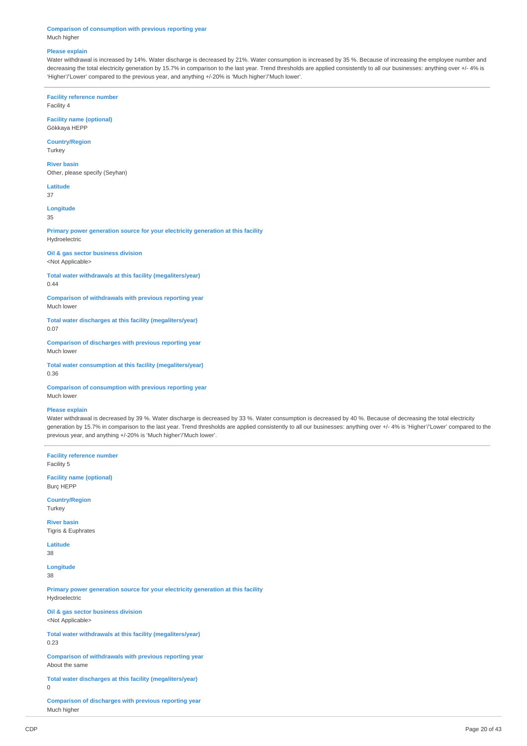**Comparison of consumption with previous reporting year** Much higher

#### **Please explain**

Water withdrawal is increased by 14%. Water discharge is decreased by 21%. Water consumption is increased by 35 %. Because of increasing the employee number and decreasing the total electricity generation by 15.7% in comparison to the last year. Trend thresholds are applied consistently to all our businesses: anything over +/- 4% is 'Higher'/'Lower' compared to the previous year, and anything +/-20% is 'Much higher'/'Much lower'.

**Facility reference number** Facility 4

**Facility name (optional)**

Gökkaya HEPP

**Country/Region** Turkey

**River basin** Other, please specify (Seyhan)

**Latitude**

37

**Longitude** 35

**Primary power generation source for your electricity generation at this facility** Hydroelectric

**Oil & gas sector business division** <Not Applicable>

**Total water withdrawals at this facility (megaliters/year)** 0.44

**Comparison of withdrawals with previous reporting year** Much lower

**Total water discharges at this facility (megaliters/year)** 0.07

**Comparison of discharges with previous reporting year** Much lower

**Total water consumption at this facility (megaliters/year)** 0.36

**Comparison of consumption with previous reporting year** Much lower

#### **Please explain**

Water withdrawal is decreased by 39 %. Water discharge is decreased by 33 %. Water consumption is decreased by 40 %. Because of decreasing the total electricity generation by 15.7% in comparison to the last year. Trend thresholds are applied consistently to all our businesses: anything over +/- 4% is 'Higher'/'Lower' compared to the previous year, and anything +/-20% is 'Much higher'/'Much lower'.

**Facility reference number** Facility 5 **Facility name (optional)** Burç HEPP **Country/Region Turkey River basin** Tigris & Euphrates **Latitude** 38 **Longitude** 38 **Primary power generation source for your electricity generation at this facility** Hydroelectric **Oil & gas sector business division** <Not Applicable> **Total water withdrawals at this facility (megaliters/year)** 0.23 **Comparison of withdrawals with previous reporting year** About the same **Total water discharges at this facility (megaliters/year) Comparison of discharges with previous reporting year** Much higher

 $\Omega$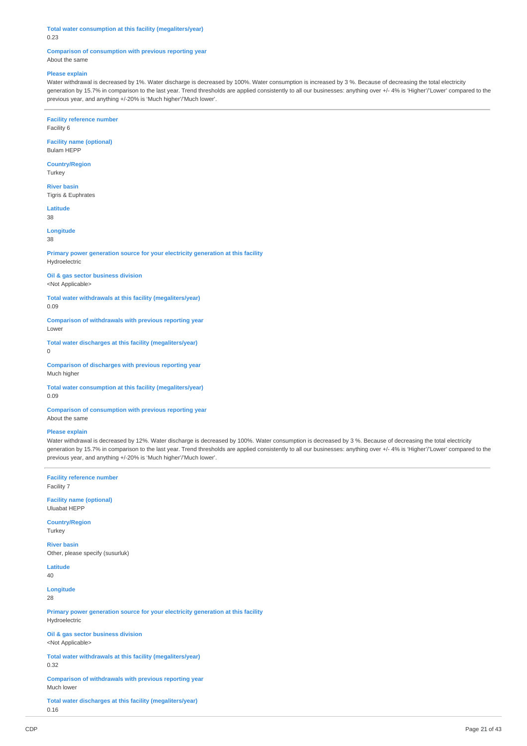#### **Total water consumption at this facility (megaliters/year)** 0.23

#### **Comparison of consumption with previous reporting year** About the same

#### **Please explain**

Water withdrawal is decreased by 1%. Water discharge is decreased by 100%. Water consumption is increased by 3 %. Because of decreasing the total electricity generation by 15.7% in comparison to the last year. Trend thresholds are applied consistently to all our businesses: anything over +/- 4% is 'Higher'/'Lower' compared to the previous year, and anything +/-20% is 'Much higher'/'Much lower'.

**Facility reference number**

Facility 6

**Facility name (optional)** Bulam HEPP

**Country/Region**

Turkey

**River basin** Tigris & Euphrates

**Latitude** 38

**Longitude**

38

**Primary power generation source for your electricity generation at this facility** Hydroelectric

**Oil & gas sector business division** <Not Applicable>

**Total water withdrawals at this facility (megaliters/year)** 0.09

**Comparison of withdrawals with previous reporting year** Lower

**Total water discharges at this facility (megaliters/year)** 0

**Comparison of discharges with previous reporting year** Much higher

**Total water consumption at this facility (megaliters/year)** 0.09

**Comparison of consumption with previous reporting year** About the same

#### **Please explain**

Water withdrawal is decreased by 12%. Water discharge is decreased by 100%. Water consumption is decreased by 3%. Because of decreasing the total electricity generation by 15.7% in comparison to the last year. Trend thresholds are applied consistently to all our businesses: anything over +/- 4% is 'Higher'/'Lower' compared to the previous year, and anything +/-20% is 'Much higher'/'Much lower'.

**Facility reference number** Facility 7

**Facility name (optional)** Uluabat HEPP

**Country/Region** Turkey

**River basin** Other, please specify (susurluk)

**Latitude**

40

**Longitude** 28

**Primary power generation source for your electricity generation at this facility** Hydroelectric

**Oil & gas sector business division** <Not Applicable>

**Total water withdrawals at this facility (megaliters/year)** 0.32

**Comparison of withdrawals with previous reporting year** Much lower

**Total water discharges at this facility (megaliters/year)** 0.16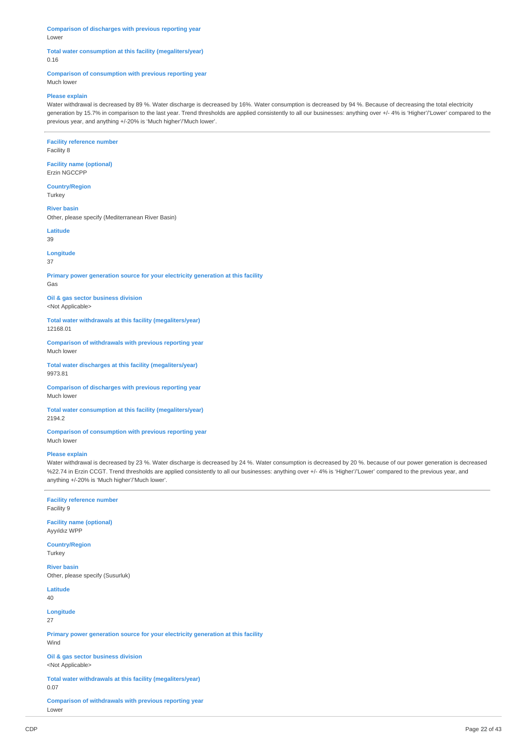**Comparison of discharges with previous reporting year** Lower

### **Total water consumption at this facility (megaliters/year)** 0.16

## **Comparison of consumption with previous reporting year**

Much lower

#### **Please explain**

Water withdrawal is decreased by 89 %. Water discharge is decreased by 16%. Water consumption is decreased by 94 %. Because of decreasing the total electricity generation by 15.7% in comparison to the last year. Trend thresholds are applied consistently to all our businesses: anything over +/- 4% is 'Higher'/'Lower' compared to the previous year, and anything +/-20% is 'Much higher'/'Much lower'.

#### **Facility reference number** Facility 8

**Facility name (optional)** Erzin NGCCPP

**Country/Region Turkey** 

**River basin** Other, please specify (Mediterranean River Basin)

**Latitude** 39

**Longitude**

### 37

**Primary power generation source for your electricity generation at this facility** Gas

#### **Oil & gas sector business division** <Not Applicable>

**Total water withdrawals at this facility (megaliters/year)** 12168.01

**Comparison of withdrawals with previous reporting year** Much lower

**Total water discharges at this facility (megaliters/year)** 9973.81

**Comparison of discharges with previous reporting year** Much lower

**Total water consumption at this facility (megaliters/year)** 2194.2

**Comparison of consumption with previous reporting year** Much lower

#### **Please explain**

Water withdrawal is decreased by 23 %. Water discharge is decreased by 24 %. Water consumption is decreased by 20 %. because of our power generation is decreased %22.74 in Erzin CCGT. Trend thresholds are applied consistently to all our businesses: anything over +/- 4% is 'Higher'/'Lower' compared to the previous year, and anything +/-20% is 'Much higher'/'Much lower'.

## **Facility reference number**

Facility 9

**Facility name (optional)** Ayyıldız WPP

**Country/Region Turkey** 

**River basin** Other, please specify (Susurluk)

**Latitude** 40

**Longitude**

27

**Primary power generation source for your electricity generation at this facility** Wind

**Oil & gas sector business division** <Not Applicable>

**Total water withdrawals at this facility (megaliters/year)** 0.07

**Comparison of withdrawals with previous reporting year** Lower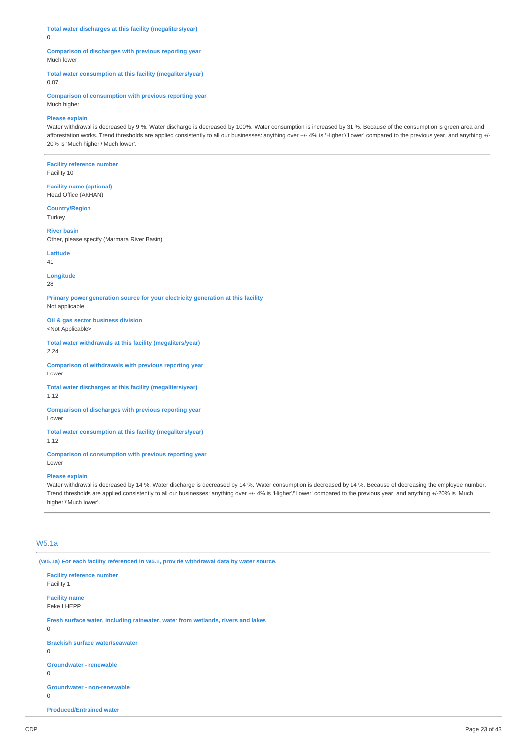**Total water discharges at this facility (megaliters/year)** 0

### **Comparison of discharges with previous reporting year** Much lower

**Total water consumption at this facility (megaliters/year)**

0.07

**Comparison of consumption with previous reporting year** Much higher

### **Please explain**

Water withdrawal is decreased by 9 %. Water discharge is decreased by 100%. Water consumption is increased by 31 %. Because of the consumption is green area and afforestation works. Trend thresholds are applied consistently to all our businesses: anything over +/- 4% is 'Higher'/'Lower' compared to the previous year, and anything +/-20% is 'Much higher'/'Much lower'.

**Facility reference number** Facility 10

**Facility name (optional)** Head Office (AKHAN)

**Country/Region** Turkey

**River basin** Other, please specify (Marmara River Basin)

**Latitude** 41

**Longitude**

28

**Primary power generation source for your electricity generation at this facility** Not applicable

**Oil & gas sector business division** <Not Applicable>

**Total water withdrawals at this facility (megaliters/year)** 2.24

**Comparison of withdrawals with previous reporting year** Lower

**Total water discharges at this facility (megaliters/year)** 1.12

**Comparison of discharges with previous reporting year** Lower

**Total water consumption at this facility (megaliters/year)** 1.12

**Comparison of consumption with previous reporting year** Lower

#### **Please explain**

Water withdrawal is decreased by 14 %. Water discharge is decreased by 14 %. Water consumption is decreased by 14 %. Because of decreasing the employee number. Trend thresholds are applied consistently to all our businesses: anything over +/- 4% is 'Higher'/'Lower' compared to the previous year, and anything +/-20% is 'Much higher'/'Much lower'.

## W5.1a

**(W5.1a) For each facility referenced in W5.1, provide withdrawal data by water source.**

**Facility reference number** Facility 1 **Facility name** Feke I HEPP **Fresh surface water, including rainwater, water from wetlands, rivers and lakes** 0 **Brackish surface water/seawater**  $\Omega$ **Groundwater - renewable**  $\overline{0}$ **Groundwater - non-renewable**  $\Omega$ **Produced/Entrained water**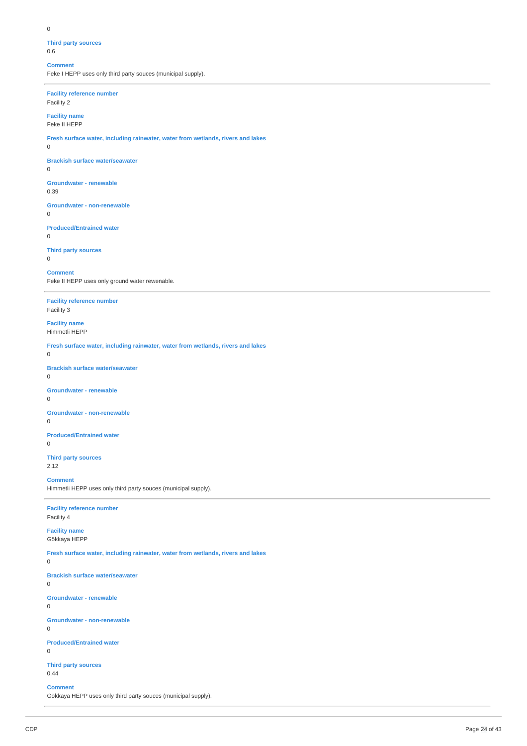## **Third party sources**

0.6

### **Comment**

Feke I HEPP uses only third party souces (municipal supply).

## **Facility reference number**

Facility 2

#### **Facility name** Feke II HEPP

**Fresh surface water, including rainwater, water from wetlands, rivers and lakes**

0

#### **Brackish surface water/seawater**

0

**Groundwater - renewable**

0.39

#### **Groundwater - non-renewable** 0

## **Produced/Entrained water**

0

## **Third party sources**

0

## **Comment**

Feke II HEPP uses only ground water rewenable.

### **Facility reference number** Facility 3

**Facility name** Himmetli HEPP

**Fresh surface water, including rainwater, water from wetlands, rivers and lakes**

0

#### **Brackish surface water/seawater**  $\Omega$

## **Groundwater - renewable**

 $\Omega$ 

## **Groundwater - non-renewable**

0

#### **Produced/Entrained water**  $\overline{0}$

#### **Third party sources** 2.12

## **Comment**

Himmetli HEPP uses only third party souces (municipal supply).

## **Facility reference number**

Facility 4

### **Facility name** Gökkaya HEPP

## **Fresh surface water, including rainwater, water from wetlands, rivers and lakes**

## 0

## **Brackish surface water/seawater**

 $\Omega$ 

## **Groundwater - renewable**

0

#### **Groundwater - non-renewable**

0

### **Produced/Entrained water**

0

### **Third party sources** 0.44

## **Comment**

Gökkaya HEPP uses only third party souces (municipal supply).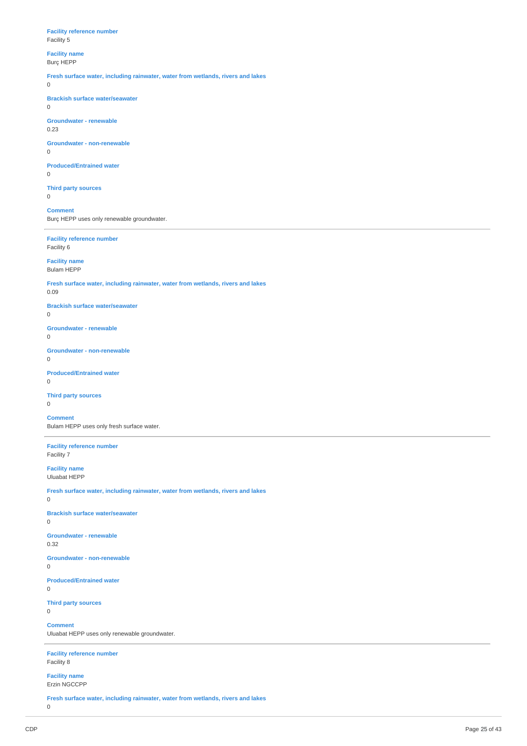#### **Facility reference number** Facility 5

## **Facility name**

Burç HEPP

**Fresh surface water, including rainwater, water from wetlands, rivers and lakes**

0

#### **Brackish surface water/seawater**

0

## **Groundwater - renewable**

0.23

#### **Groundwater - non-renewable** 0

## **Produced/Entrained water**

0

**Third party sources** 0

## **Comment**

Burç HEPP uses only renewable groundwater.

# **Facility reference number**

Facility 6

### **Facility name** Bulam HEPP

**Fresh surface water, including rainwater, water from wetlands, rivers and lakes**

0.09

### **Brackish surface water/seawater**

0

#### **Groundwater - renewable**  $\Omega$

**Groundwater - non-renewable**

 $\Omega$ 

## **Produced/Entrained water**

0

## **Third party sources**

0

## **Comment**

Bulam HEPP uses only fresh surface water.

### **Facility reference number** Facility 7

### **Facility name** Uluabat HEPP

**Fresh surface water, including rainwater, water from wetlands, rivers and lakes**

0

## **Brackish surface water/seawater**

0

## **Groundwater - renewable**

0.32

## **Groundwater - non-renewable**

0

## **Produced/Entrained water**

0

#### **Third party sources**  $\Omega$

## **Comment**

Uluabat HEPP uses only renewable groundwater.

### **Facility reference number** Facility 8

#### **Facility name** Erzin NGCCPP

**Fresh surface water, including rainwater, water from wetlands, rivers and lakes**

0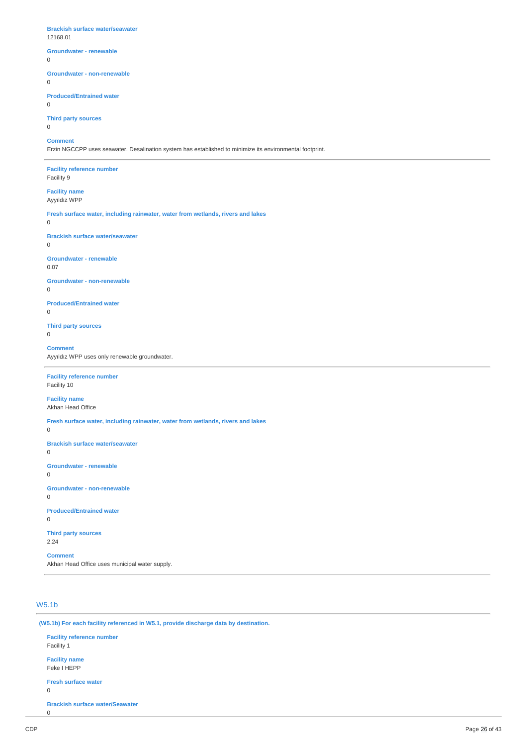**Brackish surface water/seawater** 12168.01 **Groundwater - renewable** 0 **Groundwater - non-renewable** 0 **Produced/Entrained water** 0 **Third party sources** 0 **Comment** Erzin NGCCPP uses seawater. Desalination system has established to minimize its environmental footprint. **Facility reference number** Facility 9 **Facility name** Ayyıldız WPP **Fresh surface water, including rainwater, water from wetlands, rivers and lakes**  $\Omega$ **Brackish surface water/seawater**  $\Omega$ **Groundwater - renewable** 0.07 **Groundwater - non-renewable**  $\Omega$ **Produced/Entrained water**  $\Omega$ **Third party sources** 0 **Comment** Ayyıldız WPP uses only renewable groundwater. **Facility reference number** Facility 10 **Facility name** Akhan Head Office **Fresh surface water, including rainwater, water from wetlands, rivers and lakes** 0 **Brackish surface water/seawater** 0 **Groundwater - renewable** 0 **Groundwater - non-renewable** 0 **Produced/Entrained water** 0

**Third party sources** 2.24

**Comment** Akhan Head Office uses municipal water supply.

## W5.1b

**(W5.1b) For each facility referenced in W5.1, provide discharge data by destination.**

**Facility reference number** Facility 1 **Facility name** Feke I HEPP **Fresh surface water** 0 **Brackish surface water/Seawater**  $\theta$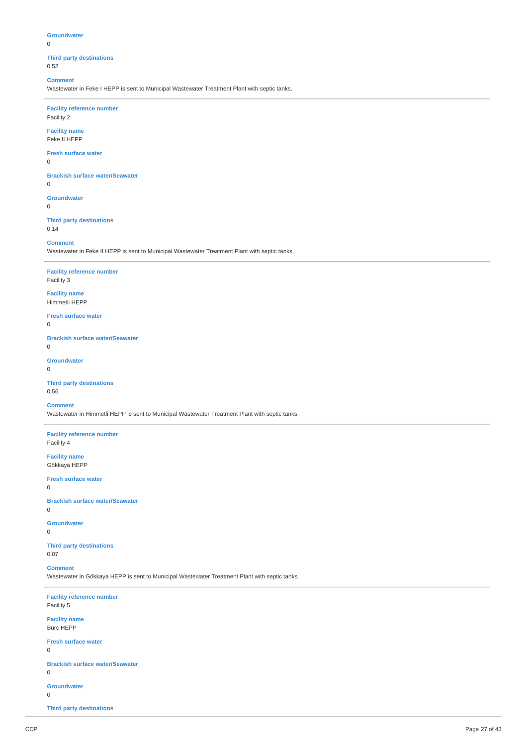### **Groundwater**

#### $\Omega$

**Third party destinations** 0.52

### **Comment**

Wastewater in Feke I HEPP is sent to Municipal Wastewater Treatment Plant with septic tanks.

## **Facility reference number**

Facility 2

### **Facility name**

Feke II HEPP

#### **Fresh surface water**

0

## **Brackish surface water/Seawater**

0

### **Groundwater**

0

### **Third party destinations** 0.14

**Comment**

Wastewater in Feke II HEPP is sent to Municipal Wastewater Treatment Plant with septic tanks.

## **Facility reference number**

Facility 3

### **Facility name** Himmetli HEPP

**Fresh surface water**

#### $\overline{0}$

**Brackish surface water/Seawater**

## $\Omega$

**Groundwater**

## $\Omega$

**Third party destinations** 0.56

#### **Comment**

Wastewater in Himmetli HEPP is sent to Municipal Wastewater Treatment Plant with septic tanks.

#### **Facility reference number** Facility 4

**Facility name**

Gökkaya HEPP

#### **Fresh surface water**

0

### **Brackish surface water/Seawater**

0

## **Groundwater**

0

### **Third party destinations** 0.07

**Comment**

Wastewater in Gökkaya HEPP is sent to Municipal Wastewater Treatment Plant with septic tanks.

## **Facility reference number** Facility 5 **Facility name** Burç HEPP **Fresh surface water**  $\Omega$

## **Brackish surface water/Seawater**

0

## **Groundwater**

 $\Omega$ 

**Third party destinations**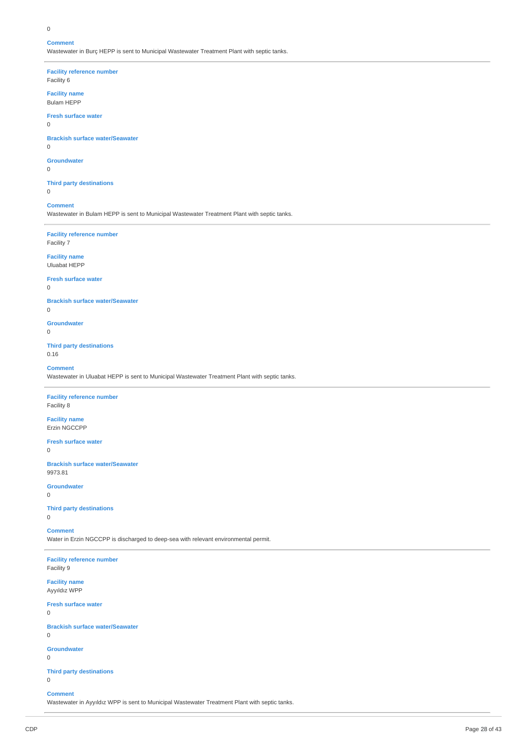#### 0

#### **Comment**

Wastewater in Burç HEPP is sent to Municipal Wastewater Treatment Plant with septic tanks.

**Facility reference number**

Facility 6

## **Facility name** Bulam HEPP

**Fresh surface water**

## 0

### **Brackish surface water/Seawater**

0

## **Groundwater**

0

## **Third party destinations**

0

## **Comment**

Wastewater in Bulam HEPP is sent to Municipal Wastewater Treatment Plant with septic tanks.

### **Facility reference number** Facility 7

**Facility name**

## Uluabat HEPP

**Fresh surface water**

#### 0

 $\Omega$ 

**Brackish surface water/Seawater**

## **Groundwater**

 $\Omega$ 

### **Third party destinations** 0.16

**Comment**

Wastewater in Uluabat HEPP is sent to Municipal Wastewater Treatment Plant with septic tanks.

## **Facility reference number**

Facility 8

### **Facility name** Erzin NGCCPP

**Fresh surface water**

### 0

**Brackish surface water/Seawater** 9973.81

## **Groundwater**

0

## **Third party destinations**

0

## **Comment**

Water in Erzin NGCCPP is discharged to deep-sea with relevant environmental permit.

### **Facility reference number** Facility 9

**Facility name** Ayyıldız WPP

## **Fresh surface water**

0

### **Brackish surface water/Seawater**

 $\Omega$ 

## **Groundwater**

 $\Omega$ 

0

## **Third party destinations**

**Comment**

Wastewater in Ayyıldız WPP is sent to Municipal Wastewater Treatment Plant with septic tanks.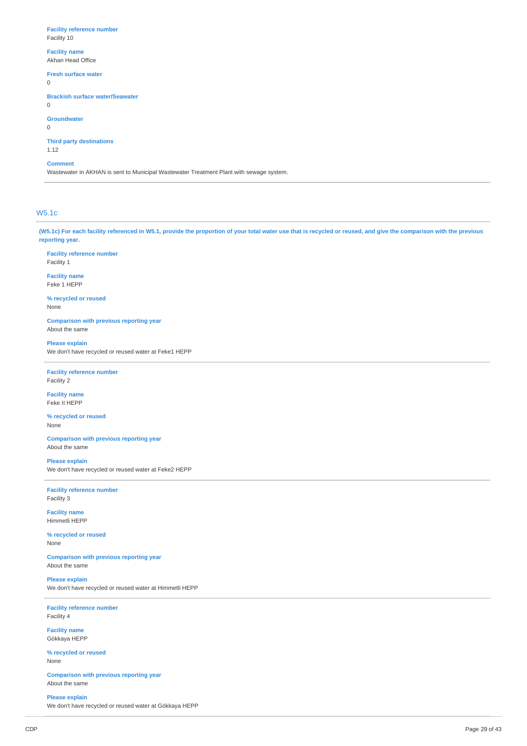#### **Facility reference number** Facility 10

## **Facility name**

Akhan Head Office

#### **Fresh surface water**

0

#### **Brackish surface water/Seawater**

0

#### **Groundwater**

0

## **Third party destinations**

1.12

### **Comment**

Wastewater in AKHAN is sent to Municipal Wastewater Treatment Plant with sewage system.

## W5.1c

(W5.1c) For each facility referenced in W5.1, provide the proportion of your total water use that is recycled or reused, and give the comparison with the previous **reporting year.**

**Facility reference number** Facility 1

**Facility name** Feke 1 HEPP

**% recycled or reused** None

**Comparison with previous reporting year** About the same

**Please explain** We don't have recycled or reused water at Feke1 HEPP

**Facility reference number** Facility 2

**Facility name** Feke II HEPP

**% recycled or reused** None

**Comparison with previous reporting year** About the same

#### **Please explain**

We don't have recycled or reused water at Feke2 HEPP

**Facility reference number** Facility 3

**Facility name** Himmetli HEPP

**% recycled or reused** None

**Comparison with previous reporting year** About the same

**Please explain** We don't have recycled or reused water at Himmetli HEPP

**Facility reference number** Facility 4

**Facility name** Gökkaya HEPP

**% recycled or reused** None

**Comparison with previous reporting year** About the same

**Please explain** We don't have recycled or reused water at Gökkaya HEPP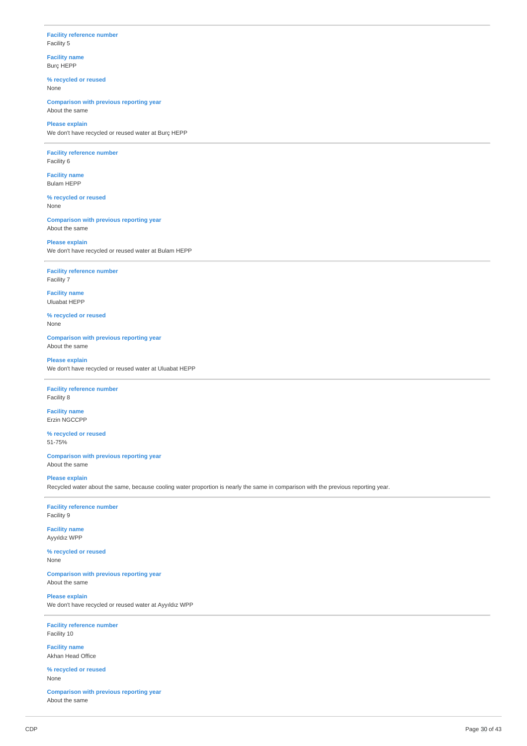### **Facility reference number** Facility 5

**Facility name** Burç HEPP

**% recycled or reused** None

**Comparison with previous reporting year** About the same

### **Please explain** We don't have recycled or reused water at Burç HEPP

**Facility reference number** Facility 6

**Facility name** Bulam HEPP

**% recycled or reused** None

**Comparison with previous reporting year** About the same

**Please explain** We don't have recycled or reused water at Bulam HEPP

**Facility reference number** Facility 7

**Facility name** Uluabat HEPP

**% recycled or reused** None

**Comparison with previous reporting year** About the same

## **Please explain**

We don't have recycled or reused water at Uluabat HEPP

### **Facility reference number** Facility 8

**Facility name** Erzin NGCCPP

**% recycled or reused** 51-75%

**Comparison with previous reporting year** About the same

#### **Please explain**

Recycled water about the same, because cooling water proportion is nearly the same in comparison with the previous reporting year.

**Facility reference number** Facility 9

**Facility name** Ayyıldız WPP

**% recycled or reused** None

**Comparison with previous reporting year** About the same

**Please explain** We don't have recycled or reused water at Ayyıldız WPP

**Facility reference number** Facility 10

**Facility name** Akhan Head Office

**% recycled or reused** None

**Comparison with previous reporting year** About the same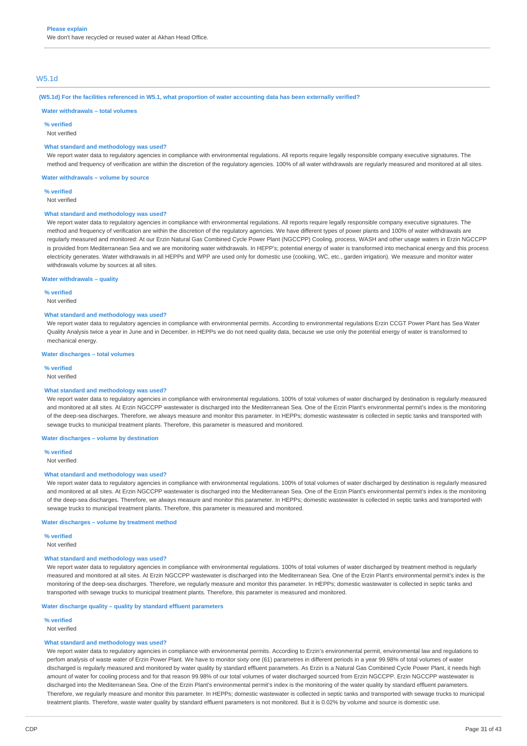## W5.1d

#### (W5.1d) For the facilities referenced in W5.1, what proportion of water accounting data has been externally verified?

#### **Water withdrawals – total volumes**

**% verified**

Not verified

#### **What standard and methodology was used?**

We report water data to regulatory agencies in compliance with environmental regulations. All reports require legally responsible company executive signatures. The method and frequency of verification are within the discretion of the regulatory agencies. 100% of all water withdrawals are regularly measured and monitored at all sites.

**Water withdrawals – volume by source**

**% verified**

Not verified

#### **What standard and methodology was used?**

We report water data to regulatory agencies in compliance with environmental regulations. All reports require legally responsible company executive signatures. The method and frequency of verification are within the discretion of the regulatory agencies. We have different types of power plants and 100% of water withdrawals are regularly measured and monitored: At our Erzin Natural Gas Combined Cycle Power Plant (NGCCPP) Cooling, process, WASH and other usage waters in Erzin NGCCPP is provided from Mediterranean Sea and we are monitoring water withdrawals. In HEPP's; potential energy of water is transformed into mechanical energy and this process electricity generates. Water withdrawals in all HEPPs and WPP are used only for domestic use (cooking, WC, etc., garden irrigation). We measure and monitor water withdrawals volume by sources at all sites.

#### **Water withdrawals – quality**

**% verified**

Not verified

#### **What standard and methodology was used?**

We report water data to regulatory agencies in compliance with environmental permits. According to environmental regulations Erzin CCGT Power Plant has Sea Water Quality Analysis twice a year in June and in December. in HEPPs we do not need quality data, because we use only the potential energy of water is transformed to mechanical energy.

#### **Water discharges – total volumes**

**% verified**

Not verified

#### **What standard and methodology was used?**

We report water data to regulatory agencies in compliance with environmental regulations. 100% of total volumes of water discharged by destination is regularly measured and monitored at all sites. At Erzin NGCCPP wastewater is discharged into the Mediterranean Sea. One of the Erzin Plant's environmental permit's index is the monitoring of the deep-sea discharges. Therefore, we always measure and monitor this parameter. In HEPPs; domestic wastewater is collected in septic tanks and transported with sewage trucks to municipal treatment plants. Therefore, this parameter is measured and monitored.

#### **Water discharges – volume by destination**

**% verified**

Not verified

#### **What standard and methodology was used?**

We report water data to regulatory agencies in compliance with environmental regulations. 100% of total volumes of water discharged by destination is regularly measured and monitored at all sites. At Erzin NGCCPP wastewater is discharged into the Mediterranean Sea. One of the Erzin Plant's environmental permit's index is the monitoring of the deep-sea discharges. Therefore, we always measure and monitor this parameter. In HEPPs; domestic wastewater is collected in septic tanks and transported with sewage trucks to municipal treatment plants. Therefore, this parameter is measured and monitored.

#### **Water discharges – volume by treatment method**

**% verified**

Not verified

#### **What standard and methodology was used?**

We report water data to regulatory agencies in compliance with environmental regulations. 100% of total volumes of water discharged by treatment method is regularly measured and monitored at all sites. At Erzin NGCCPP wastewater is discharged into the Mediterranean Sea. One of the Erzin Plant's environmental permit's index is the monitoring of the deep-sea discharges. Therefore, we regularly measure and monitor this parameter. In HEPPs; domestic wastewater is collected in septic tanks and transported with sewage trucks to municipal treatment plants. Therefore, this parameter is measured and monitored.

#### **Water discharge quality – quality by standard effluent parameters**

**% verified**

Not verified

#### **What standard and methodology was used?**

We report water data to regulatory agencies in compliance with environmental permits. According to Erzin's environmental permit, environmental law and regulations to perfom analysis of waste water of Erzin Power Plant. We have to monitor sixty one (61) parametres in different periods in a year 99.98% of total volumes of water discharged is regularly measured and monitored by water quality by standard effluent parameters. As Erzin is a Natural Gas Combined Cycle Power Plant, it needs high amount of water for cooling process and for that reason 99.98% of our total volumes of water discharged sourced from Erzin NGCCPP. Erzin NGCCPP wastewater is discharged into the Mediterranean Sea. One of the Erzin Plant's environmental permit's index is the monitoring of the water quality by standard effluent parameters. Therefore, we regularly measure and monitor this parameter. In HEPPs; domestic wastewater is collected in septic tanks and transported with sewage trucks to municipal treatment plants. Therefore, waste water quality by standard effluent parameters is not monitored. But it is 0.02% by volume and source is domestic use.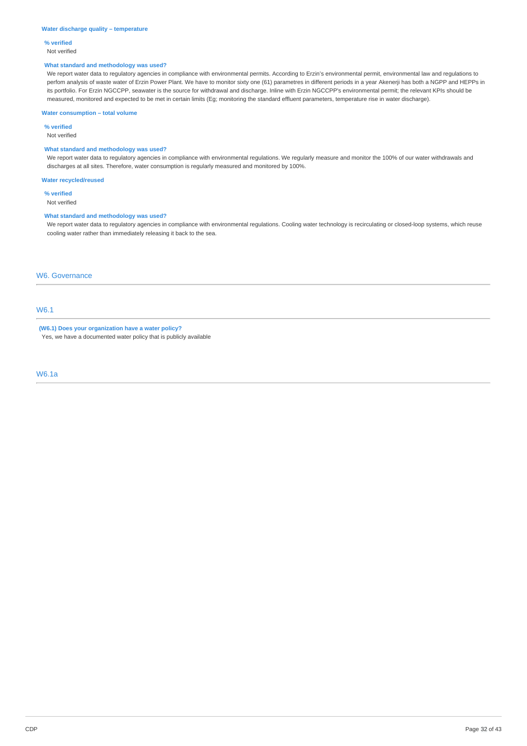#### **Water discharge quality – temperature**

## **% verified**

Not verified

#### **What standard and methodology was used?**

We report water data to regulatory agencies in compliance with environmental permits. According to Erzin's environmental permit, environmental law and regulations to perfom analysis of waste water of Erzin Power Plant. We have to monitor sixty one (61) parametres in different periods in a year Akenerji has both a NGPP and HEPPs in its portfolio. For Erzin NGCCPP, seawater is the source for withdrawal and discharge. Inline with Erzin NGCCPP's environmental permit; the relevant KPIs should be measured, monitored and expected to be met in certain limits (Eg; monitoring the standard effluent parameters, temperature rise in water discharge).

### **Water consumption – total volume**

**% verified**

Not verified

## **What standard and methodology was used?**

We report water data to regulatory agencies in compliance with environmental regulations. We regularly measure and monitor the 100% of our water withdrawals and discharges at all sites. Therefore, water consumption is regularly measured and monitored by 100%.

**Water recycled/reused**

**% verified**

Not verified

#### **What standard and methodology was used?**

We report water data to regulatory agencies in compliance with environmental regulations. Cooling water technology is recirculating or closed-loop systems, which reuse cooling water rather than immediately releasing it back to the sea.

### W6. Governance

## W6.1

**(W6.1) Does your organization have a water policy?** Yes, we have a documented water policy that is publicly available

W6.1a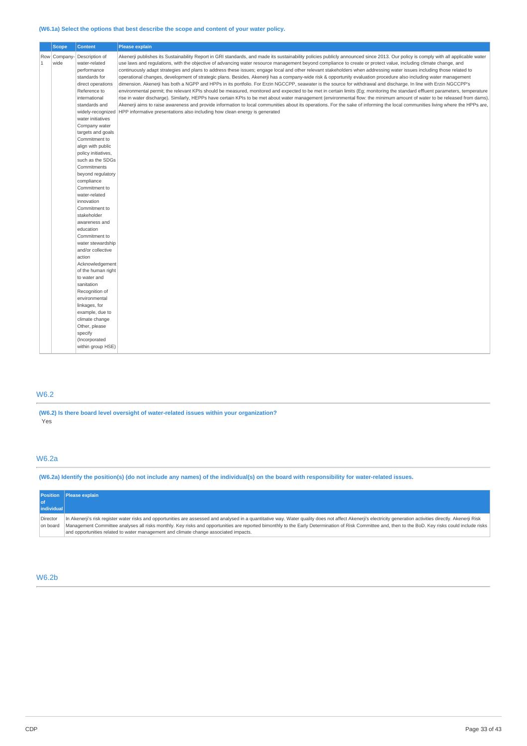### **(W6.1a) Select the options that best describe the scope and content of your water policy.**

|              | <b>Scope</b>         | <b>Content</b>                                                                                                                                                                                                                                                                                                                                                                                                                                                                                                                                                                                                                                                                                                                                                                 | <b>Please explain</b>                                                                                                                                                                                                                                                                                                                                                                                                                                                                                                                                                                                                                                                                                                                                                                                                                                                                                                                                                                                                                                                                                                                                                                                                                                                                                                                                                                                                                                                                                |
|--------------|----------------------|--------------------------------------------------------------------------------------------------------------------------------------------------------------------------------------------------------------------------------------------------------------------------------------------------------------------------------------------------------------------------------------------------------------------------------------------------------------------------------------------------------------------------------------------------------------------------------------------------------------------------------------------------------------------------------------------------------------------------------------------------------------------------------|------------------------------------------------------------------------------------------------------------------------------------------------------------------------------------------------------------------------------------------------------------------------------------------------------------------------------------------------------------------------------------------------------------------------------------------------------------------------------------------------------------------------------------------------------------------------------------------------------------------------------------------------------------------------------------------------------------------------------------------------------------------------------------------------------------------------------------------------------------------------------------------------------------------------------------------------------------------------------------------------------------------------------------------------------------------------------------------------------------------------------------------------------------------------------------------------------------------------------------------------------------------------------------------------------------------------------------------------------------------------------------------------------------------------------------------------------------------------------------------------------|
| $\mathbf{1}$ | Row Company-<br>wide | Description of<br>water-related<br>performance<br>standards for<br>direct operations<br>Reference to<br>international<br>standards and<br>widely-recognized<br>water initiatives<br>Company water<br>targets and goals<br>Commitment to<br>align with public<br>policy initiatives,<br>such as the SDGs<br>Commitments<br>beyond regulatory<br>compliance<br>Commitment to<br>water-related<br>innovation<br>Commitment to<br>stakeholder<br>awareness and<br>education<br>Commitment to<br>water stewardship<br>and/or collective<br>action<br>Acknowledgement<br>of the human right<br>to water and<br>sanitation<br>Recognition of<br>environmental<br>linkages, for<br>example, due to<br>climate change<br>Other, please<br>specify<br>(Incorporated<br>within group HSE) | Akenerji publishes its Sustainability Report in GRI standards, and made its sustainability policies publicly announced since 2013. Our policy is comply with all applicable water<br>use laws and requlations, with the objective of advancing water resource management beyond compliance to create or protect value, including climate change, and<br>continuously adapt strategies and plans to address these issues; engage local and other relevant stakeholders when addressing water issues including those related to<br>operational changes, development of strategic plans. Besides, Akenerji has a company-wide risk & opportunity evaluation procedure also including water management<br>dimension. Akenerji has both a NGPP and HPPs in its portfolio. For Erzin NGCCPP, seawater is the source for withdrawal and discharge. In line with Erzin NGCCPP's<br>environmental permit; the relevant KPIs should be measured, monitored and expected to be met in certain limits (Eg; monitoring the standard effluent parameters, temperature<br>rise in water discharge). Similarly, HEPPs have certain KPIs to be met about water management (environmental flow: the minimum amount of water to be released from dams).<br>Akenerji aims to raise awareness and provide information to local communities about its operations. For the sake of informing the local communities living where the HPPs are,<br>HPP informative presentations also including how clean energy is generated |

## W6.2

**(W6.2) Is there board level oversight of water-related issues within your organization?** Yes

## W6.2a

(W6.2a) Identify the position(s) (do not include any names) of the individual(s) on the board with responsibility for water-related issues.

| Please explain                                                                                                                                                                                                |
|---------------------------------------------------------------------------------------------------------------------------------------------------------------------------------------------------------------|
|                                                                                                                                                                                                               |
| <i>individual</i>                                                                                                                                                                                             |
| In Akenerji's risk register water risks and opportunities are assessed and analysed in a quantitative way. Water quality does not affect Akenerji's electricity generation activities directly. Akenerji Risk |
| Management Committee analyses all risks monthly. Key risks and opportunities are reported bimonthly to the Early Determination of Risk Committee and, then to the BoD. Key risks could include risks          |
| and opportunities related to water management and climate change associated impacts.                                                                                                                          |
|                                                                                                                                                                                                               |

## W6.2b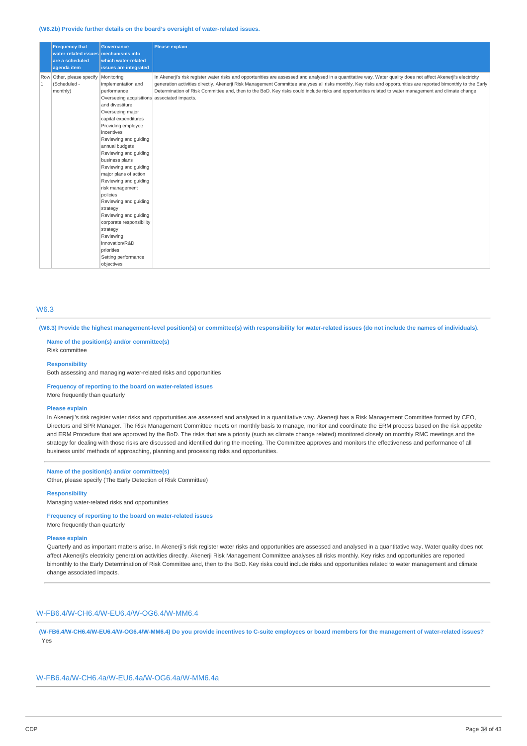#### **(W6.2b) Provide further details on the board's oversight of water-related issues.**

|                | <b>Frequency that</b><br>water-related issues mechanisms into<br>are a scheduled<br>agenda item | <b>Governance</b><br>which water-related<br>issues are integrated                                                                                                                                                                                                                                                                                                                                                                                                                                                                                                                         | Please explain                                                                                                                                                                                                                                                                                                                                                                                                                                                                            |
|----------------|-------------------------------------------------------------------------------------------------|-------------------------------------------------------------------------------------------------------------------------------------------------------------------------------------------------------------------------------------------------------------------------------------------------------------------------------------------------------------------------------------------------------------------------------------------------------------------------------------------------------------------------------------------------------------------------------------------|-------------------------------------------------------------------------------------------------------------------------------------------------------------------------------------------------------------------------------------------------------------------------------------------------------------------------------------------------------------------------------------------------------------------------------------------------------------------------------------------|
| $\overline{1}$ | Row Other, please specify<br>(Scheduled -<br>monthly)                                           | Monitoring<br>implementation and<br>performance<br>Overseeing acquisitions associated impacts.<br>and divestiture<br>Overseeing major<br>capital expenditures<br>Providing employee<br>incentives<br>Reviewing and guiding<br>annual budgets<br>Reviewing and guiding<br>business plans<br>Reviewing and guiding<br>major plans of action<br>Reviewing and guiding<br>risk management<br>policies<br>Reviewing and guiding<br>strategy<br>Reviewing and quiding<br>corporate responsibility<br>strategy<br>Reviewing<br>innovation/R&D<br>priorities<br>Setting performance<br>objectives | In Akenerji's risk register water risks and opportunities are assessed and analysed in a quantitative way. Water quality does not affect Akenerji's electricity<br>generation activities directly. Akenerji Risk Management Committee analyses all risks monthly. Key risks and opportunities are reported bimonthly to the Early<br>Determination of Risk Committee and, then to the BoD. Key risks could include risks and opportunities related to water management and climate change |

## W6.3

(W6.3) Provide the highest management-level position(s) or committee(s) with responsibility for water-related issues (do not include the names of individuals).

### **Name of the position(s) and/or committee(s)** Risk committee

#### **Responsibility**

Both assessing and managing water-related risks and opportunities

#### **Frequency of reporting to the board on water-related issues**

More frequently than quarterly

#### **Please explain**

In Akenerji's risk register water risks and opportunities are assessed and analysed in a quantitative way. Akenerji has a Risk Management Committee formed by CEO, Directors and SPR Manager. The Risk Management Committee meets on monthly basis to manage, monitor and coordinate the ERM process based on the risk appetite and ERM Procedure that are approved by the BoD. The risks that are a priority (such as climate change related) monitored closely on monthly RMC meetings and the strategy for dealing with those risks are discussed and identified during the meeting. The Committee approves and monitors the effectiveness and performance of all business units' methods of approaching, planning and processing risks and opportunities.

## **Name of the position(s) and/or committee(s)**

Other, please specify (The Early Detection of Risk Committee)

#### **Responsibility**

Managing water-related risks and opportunities

#### **Frequency of reporting to the board on water-related issues** More frequently than quarterly

# **Please explain**

Quarterly and as important matters arise. In Akenerji's risk register water risks and opportunities are assessed and analysed in a quantitative way. Water quality does not affect Akenerji's electricity generation activities directly. Akenerji Risk Management Committee analyses all risks monthly. Key risks and opportunities are reported bimonthly to the Early Determination of Risk Committee and, then to the BoD. Key risks could include risks and opportunities related to water management and climate change associated impacts.

## W-FB6.4/W-CH6.4/W-EU6.4/W-OG6.4/W-MM6.4

(W-FB6.4/W-CH6.4/W-EU6.4/W-OG6.4/W-MM6.4) Do you provide incentives to C-suite employees or board members for the management of water-related issues? Yes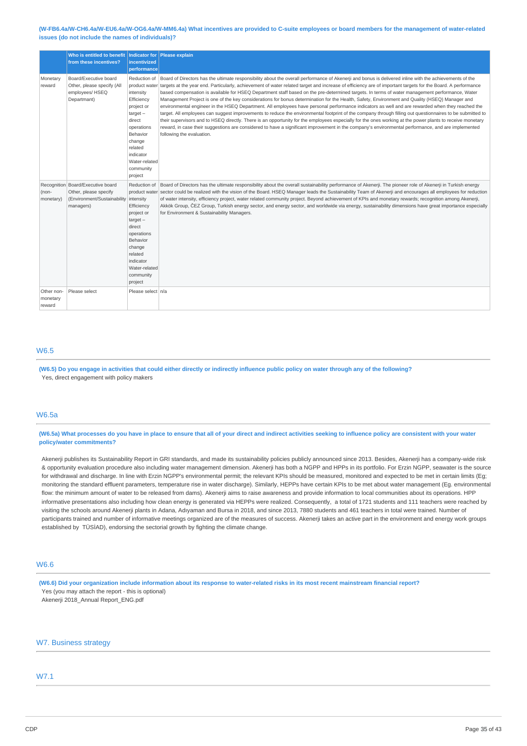#### (W-FB6.4a/W-CH6.4a/W-EU6.4a/W-OG6.4a/W-MM6.4a) What incentives are provided to C-suite employees or board members for the management of water-related **issues (do not include the names of individuals)?**

|                                  | Who is entitled to benefit<br>from these incentives?                                                                                                                                                                                                                        | incentivized<br>performance                                                                                                                                        | Indicator for Please explain                                                                                                                                                                                                                                                                                                                                                                                                                                                                                                                                                                                                                                                                                                                                                                                                                                                                                                                                                                                                                                                                                                                                                                                                                                                                              |
|----------------------------------|-----------------------------------------------------------------------------------------------------------------------------------------------------------------------------------------------------------------------------------------------------------------------------|--------------------------------------------------------------------------------------------------------------------------------------------------------------------|-----------------------------------------------------------------------------------------------------------------------------------------------------------------------------------------------------------------------------------------------------------------------------------------------------------------------------------------------------------------------------------------------------------------------------------------------------------------------------------------------------------------------------------------------------------------------------------------------------------------------------------------------------------------------------------------------------------------------------------------------------------------------------------------------------------------------------------------------------------------------------------------------------------------------------------------------------------------------------------------------------------------------------------------------------------------------------------------------------------------------------------------------------------------------------------------------------------------------------------------------------------------------------------------------------------|
| Monetary<br>reward               | Board/Executive board<br>Reduction of<br>Other, please specify (All<br>employees/ HSEQ<br>intensity<br>Departmant)<br>Efficiency<br>project or<br>$target -$<br>direct<br>operations<br>Behavior<br>change<br>related<br>indicator<br>Water-related<br>community<br>project |                                                                                                                                                                    | Board of Directors has the ultimate responsibility about the overall performance of Akenerji and bonus is delivered inline with the achievements of the<br>product water targets at the year end. Particularly, achievement of water related target and increase of efficiency are of important targets for the Board. A performance<br>based compensation is available for HSEQ Department staff based on the pre-determined targets. In terms of water management performance, Water<br>Management Project is one of the key considerations for bonus determination for the Health, Safety, Environment and Quality (HSEQ) Manager and<br>environmental engineer in the HSEQ Department. All employees have personal performance indicators as well and are rewarded when they reached the<br>target. All employees can suggest improvements to reduce the environmental footprint of the company through filling out questionnaires to be submitted to<br>their supervisors and to HSEQ directly. There is an opportunity for the employees especially for the ones working at the power plants to receive monetary<br>reward, in case their suggestions are considered to have a significant improvement in the company's environmental performance, and are implemented<br>following the evaluation. |
| (non-<br>monetary)               | Recognition Board/Executive board<br>Other, please specify<br>(Environment/Sustainability<br>managers)                                                                                                                                                                      | intensity<br>Efficiency<br>project or<br>$target -$<br>direct<br>operations<br>Behavior<br>change<br>related<br>indicator<br>Water-related<br>community<br>project | Reduction of Board of Directors has the ultimate responsibility about the overall sustainability performance of Akenerji. The pioneer role of Akenerji in Turkish energy<br>product water sector could be realized with the vision of the Board. HSEO Manager leads the Sustainability Team of Akenerii and encourages all employees for reduction<br>of water intensity, efficiency project, water related community project. Beyond achievement of KPIs and monetary rewards; recognition among Akenerii,<br>Akkök Group, ČEZ Group, Turkish energy sector, and energy sector, and worldwide via energy, sustainability dimensions have great importance especially<br>for Environment & Sustainability Managers.                                                                                                                                                                                                                                                                                                                                                                                                                                                                                                                                                                                       |
| Other non-<br>monetary<br>reward | Please select                                                                                                                                                                                                                                                               | Please select n/a                                                                                                                                                  |                                                                                                                                                                                                                                                                                                                                                                                                                                                                                                                                                                                                                                                                                                                                                                                                                                                                                                                                                                                                                                                                                                                                                                                                                                                                                                           |

## W6.5

(W6.5) Do you engage in activities that could either directly or indirectly influence public policy on water through any of the following? Yes, direct engagement with policy makers

## W6.5a

(W6.5a) What processes do you have in place to ensure that all of your direct and indirect activities seeking to influence policy are consistent with your water **policy/water commitments?**

Akenerji publishes its Sustainability Report in GRI standards, and made its sustainability policies publicly announced since 2013. Besides, Akenerji has a company-wide risk & opportunity evaluation procedure also including water management dimension. Akenerji has both a NGPP and HPPs in its portfolio. For Erzin NGPP, seawater is the source for withdrawal and discharge. In line with Erzin NGPP's environmental permit; the relevant KPIs should be measured, monitored and expected to be met in certain limits (Eg; monitoring the standard effluent parameters, temperature rise in water discharge). Similarly, HEPPs have certain KPIs to be met about water management (Eg. environmental flow: the minimum amount of water to be released from dams). Akenerii aims to raise awareness and provide information to local communities about its operations. HPP informative presentations also including how clean energy is generated via HEPPs were realized. Consequently, a total of 1721 students and 111 teachers were reached by visiting the schools around Akenerji plants in Adana, Adıyaman and Bursa in 2018, and since 2013, 7880 students and 461 teachers in total were trained. Number of participants trained and number of informative meetings organized are of the measures of success. Akenerji takes an active part in the environment and energy work groups established by TÜSİAD), endorsing the sectorial growth by fighting the climate change.

### W6.6

(W6.6) Did your organization include information about its response to water-related risks in its most recent mainstream financial report? Yes (you may attach the report - this is optional) Akenerji 2018\_Annual Report\_ENG.pdf

## W7. Business strategy

## W7.1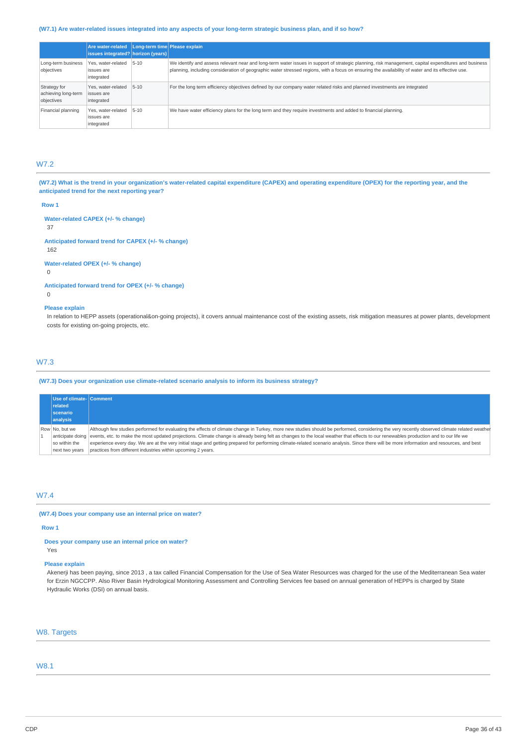### (W7.1) Are water-related issues integrated into any aspects of your long-term strategic business plan, and if so how?

|                                                   | <b>Are water-related</b><br>issues integrated? horizon (years) | Long-term time Please explain |                                                                                                                                                                                                                                                                                                           |
|---------------------------------------------------|----------------------------------------------------------------|-------------------------------|-----------------------------------------------------------------------------------------------------------------------------------------------------------------------------------------------------------------------------------------------------------------------------------------------------------|
| Long-term business<br>objectives                  | Yes, water-related<br>issues are<br>integrated                 | $5 - 10$                      | We identify and assess relevant near and long-term water issues in support of strategic planning, risk management, capital expenditures and business<br>planning, including consideration of geographic water stressed regions, with a focus on ensuring the availability of water and its effective use. |
| Strategy for<br>achieving long-term<br>objectives | Yes, water-related<br>issues are<br>integrated                 | $5 - 10$                      | For the long term efficiency objectives defined by our company water related risks and planned investments are integrated                                                                                                                                                                                 |
| Financial planning                                | Yes, water-related<br>issues are<br>integrated                 | $5 - 10$                      | We have water efficiency plans for the long term and they require investments and added to financial planning.                                                                                                                                                                                            |

### W7.2

(W7.2) What is the trend in your organization's water-related capital expenditure (CAPEX) and operating expenditure (OPEX) for the reporting year, and the **anticipated trend for the next reporting year?**

**Row 1**

**Water-related CAPEX (+/- % change)** 37

**Anticipated forward trend for CAPEX (+/- % change)** 162

**Water-related OPEX (+/- % change)**

 $\Omega$ 

**Anticipated forward trend for OPEX (+/- % change)**  $\overline{0}$ 

#### **Please explain**

In relation to HEPP assets (operational&on-going projects), it covers annual maintenance cost of the existing assets, risk mitigation measures at power plants, development costs for existing on-going projects, etc.

## W7.3

#### **(W7.3) Does your organization use climate-related scenario analysis to inform its business strategy?**

| Use of climate- Comment<br>related<br><b>scenario</b><br>analysis     |                                                                                                                                                                                                                                                                                                                                                                                                                                                                                                                                                                                                                                                   |
|-----------------------------------------------------------------------|---------------------------------------------------------------------------------------------------------------------------------------------------------------------------------------------------------------------------------------------------------------------------------------------------------------------------------------------------------------------------------------------------------------------------------------------------------------------------------------------------------------------------------------------------------------------------------------------------------------------------------------------------|
| Row No. but we<br>anticipate doing<br>so within the<br>next two years | Although few studies performed for evaluating the effects of climate change in Turkey, more new studies should be performed, considering the very recently observed climate related weather<br>events, etc. to make the most updated projections. Climate change is already being felt as changes to the local weather that effects to our renewables production and to our life we<br>experience every day. We are at the very initial stage and getting prepared for performing climate-related scenario analysis. Since there will be more information and resources, and best<br>practices from different industries within upcoming 2 years. |

## W7.4

#### **(W7.4) Does your company use an internal price on water?**

**Row 1**

#### **Does your company use an internal price on water?**

Yes

## **Please explain**

Akenerji has been paying, since 2013 , a tax called Financial Compensation for the Use of Sea Water Resources was charged for the use of the Mediterranean Sea water for Erzin NGCCPP. Also River Basin Hydrological Monitoring Assessment and Controlling Services fee based on annual generation of HEPPs is charged by State Hydraulic Works (DSI) on annual basis.

## W8. Targets

#### W8.1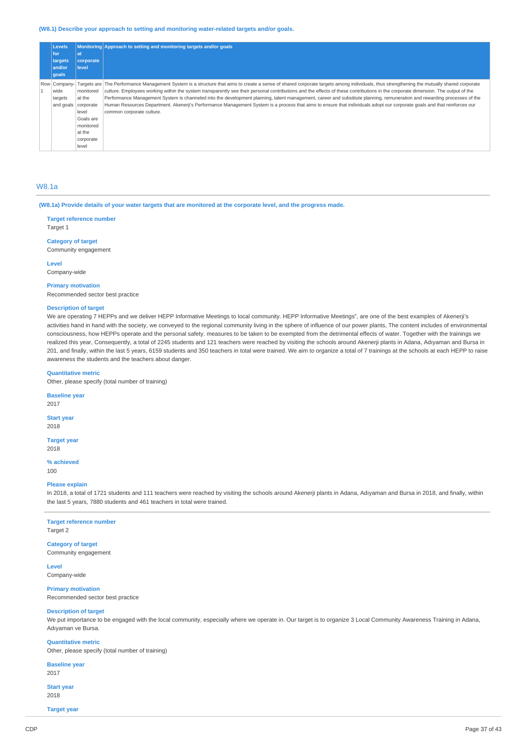#### **(W8.1) Describe your approach to setting and monitoring water-related targets and/or goals.**

| <b>Levels</b><br>for<br>targets<br>and/or<br>goals | lat<br>corporate<br>level                                                                           | Monitoring Approach to setting and monitoring targets and/or goals                                                                                                                                                                                                                                                                                                                                                                                                                                                                                                                                                                                                                                                                                                |
|----------------------------------------------------|-----------------------------------------------------------------------------------------------------|-------------------------------------------------------------------------------------------------------------------------------------------------------------------------------------------------------------------------------------------------------------------------------------------------------------------------------------------------------------------------------------------------------------------------------------------------------------------------------------------------------------------------------------------------------------------------------------------------------------------------------------------------------------------------------------------------------------------------------------------------------------------|
| Row Company-<br>wide<br>targets<br>and goals       | monitored<br>at the<br>corporate<br>level<br>Goals are<br>monitored<br>at the<br>corporate<br>level | Targets are The Performance Management System is a structure that aims to create a sense of shared corporate targets among individuals, thus strengthening the mutually shared corporate<br>culture. Employees working within the system transparently see their personal contributions and the effects of these contributions in the corporate dimension. The output of the<br>Performance Management System is channeled into the development planning, talent management, career and substitute planning, remuneration and rewarding processes of the<br>Human Resources Department. Akenerji's Performance Management System is a process that aims to ensure that individuals adopt our corporate goals and that reinforces our<br>common corporate culture. |

### W8.1a

(W8.1a) Provide details of your water targets that are monitored at the corporate level, and the progress made.

**Target reference number** Target 1

**Category of target**

Community engagement

**Level** Company-wide

#### **Primary motivation**

Recommended sector best practice

### **Description of target**

We are operating 7 HEPPs and we deliver HEPP Informative Meetings to local community. HEPP Informative Meetings", are one of the best examples of Akenerji's activities hand in hand with the society, we conveyed to the regional community living in the sphere of influence of our power plants, The content includes of environmental consciousness, how HEPPs operate and the personal safety. measures to be taken to be exempted from the detrimental effects of water. Together with the trainings we realized this year, Consequently, a total of 2245 students and 121 teachers were reached by visiting the schools around Akenerji plants in Adana, Adıyaman and Bursa in 201, and finally, within the last 5 years, 6159 students and 350 teachers in total were trained. We aim to organize a total of 7 trainings at the schools at each HEPP to raise awareness the students and the teachers about danger.

### **Quantitative metric**

Other, please specify (total number of training)

**Baseline year**

2017

**Start year** 2018

**Target year** 2018

**% achieved**

100

### **Please explain**

In 2018, a total of 1721 students and 111 teachers were reached by visiting the schools around Akenerji plants in Adana, Adıyaman and Bursa in 2018, and finally, within the last 5 years, 7880 students and 461 teachers in total were trained.

## **Target reference number**

Target 2

### **Category of target** Community engagement

**Level** Company-wide

**Primary motivation** Recommended sector best practice

#### **Description of target**

We put importance to be engaged with the local community, especially where we operate in. Our target is to organize 3 Local Community Awareness Training in Adana, Adıyaman ve Bursa.

#### **Quantitative metric**

Other, please specify (total number of training)

**Baseline year**

2017

**Start year** 2018

**Target year**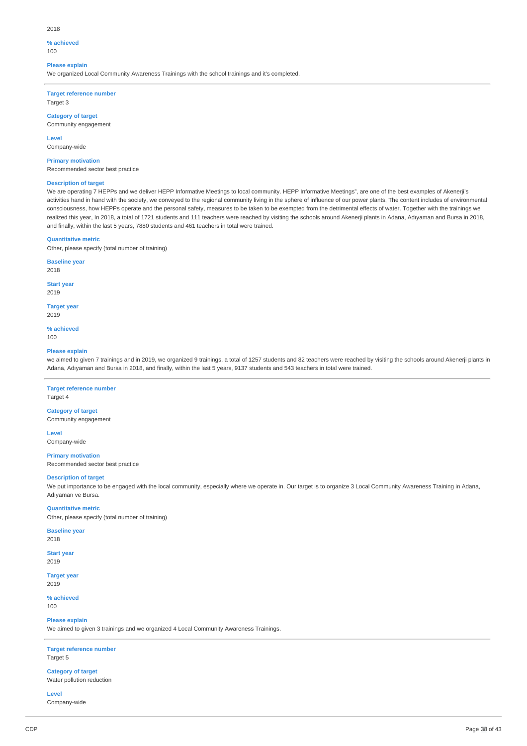#### 2018

## **% achieved**

 $100$ 

### **Please explain**

We organized Local Community Awareness Trainings with the school trainings and it's completed.

**Target reference number** Target 3

**Category of target**

Community engagement

**Level** Company-wide

#### **Primary motivation**

Recommended sector best practice

#### **Description of target**

We are operating 7 HEPPs and we deliver HEPP Informative Meetings to local community. HEPP Informative Meetings", are one of the best examples of Akenerji's activities hand in hand with the society, we conveyed to the regional community living in the sphere of influence of our power plants, The content includes of environmental consciousness, how HEPPs operate and the personal safety, measures to be taken to be exempted from the detrimental effects of water. Together with the trainings we realized this year, In 2018, a total of 1721 students and 111 teachers were reached by visiting the schools around Akenerji plants in Adana, Adıyaman and Bursa in 2018, and finally, within the last 5 years, 7880 students and 461 teachers in total were trained.

#### **Quantitative metric**

Other, please specify (total number of training)

**Baseline year**

2018

**Start year** 2019

**Target year**

2019

**% achieved** 100

#### **Please explain**

we aimed to given 7 trainings and in 2019, we organized 9 trainings, a total of 1257 students and 82 teachers were reached by visiting the schools around Akenerji plants in Adana, Adıyaman and Bursa in 2018, and finally, within the last 5 years, 9137 students and 543 teachers in total were trained.

### **Target reference number**

Target 4

**Category of target** Community engagement

**Level**

Company-wide

**Primary motivation** Recommended sector best practice

#### **Description of target**

We put importance to be engaged with the local community, especially where we operate in. Our target is to organize 3 Local Community Awareness Training in Adana, Adıyaman ve Bursa.

#### **Quantitative metric**

Other, please specify (total number of training)

**Baseline year** 2018

#### **Start year**

2019

**Target year** 2019

**% achieved**

100

#### **Please explain**

We aimed to given 3 trainings and we organized 4 Local Community Awareness Trainings.

**Target reference number** Target 5

**Category of target** Water pollution reduction

**Level** Company-wide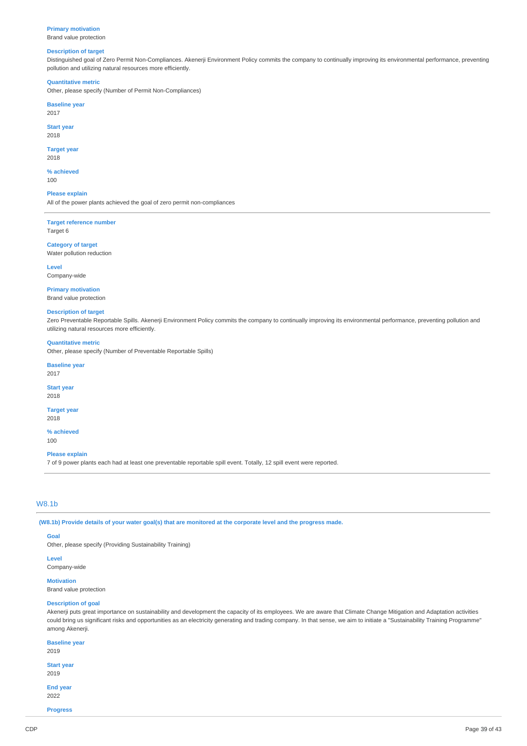#### **Primary motivation**

Brand value protection

#### **Description of target**

Distinguished goal of Zero Permit Non-Compliances. Akenerji Environment Policy commits the company to continually improving its environmental performance, preventing pollution and utilizing natural resources more efficiently.

#### **Quantitative metric**

Other, please specify (Number of Permit Non-Compliances)

#### **Baseline year** 2017

**Start year**

## 2018

**Target year**

## 2018

**% achieved** 100

**Please explain** All of the power plants achieved the goal of zero permit non-compliances

**Target reference number** Target 6

#### **Category of target** Water pollution reduction

**Level** Company-wide

# **Primary motivation**

Brand value protection

#### **Description of target**

Zero Preventable Reportable Spills. Akenerji Environment Policy commits the company to continually improving its environmental performance, preventing pollution and utilizing natural resources more efficiently.

## **Quantitative metric**

Other, please specify (Number of Preventable Reportable Spills)

#### **Baseline year**

2017

#### **Start year** 2018

**Target year**

# 2018

**% achieved** 100

#### **Please explain**

7 of 9 power plants each had at least one preventable reportable spill event. Totally, 12 spill event were reported.

## W8.1b

(W8.1b) Provide details of your water goal(s) that are monitored at the corporate level and the progress made.

#### **Goal**

Other, please specify (Providing Sustainability Training)

### **Level**

Company-wide

## **Motivation**

Brand value protection

#### **Description of goal**

Akenerji puts great importance on sustainability and development the capacity of its employees. We are aware that Climate Change Mitigation and Adaptation activities could bring us significant risks and opportunities as an electricity generating and trading company. In that sense, we aim to initiate a "Sustainability Training Programme" among Akenerji.

### **Baseline year** 2019

**Start year**

2019

**End year** 2022

**Progress**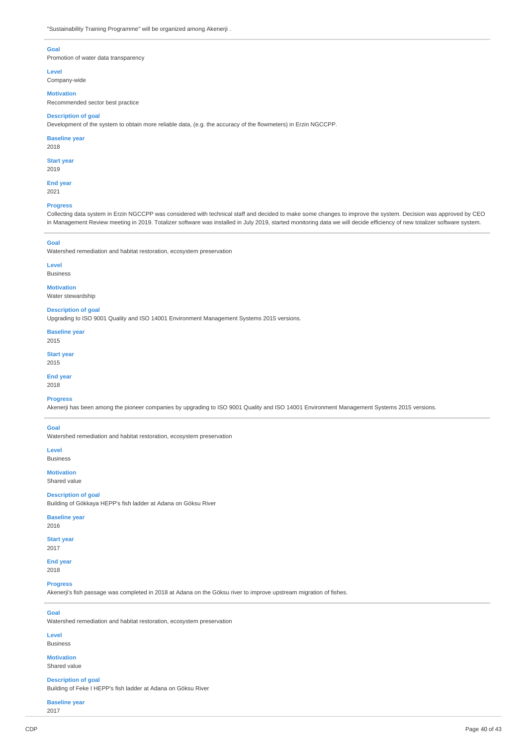### **Goal**

Promotion of water data transparency

**Level**

Company-wide

#### **Motivation**

Recommended sector best practice

#### **Description of goal**

Development of the system to obtain more reliable data, (e.g. the accuracy of the flowmeters) in Erzin NGCCPP.

#### **Baseline year**

2018

## **Start year**

2019

**End year** 2021

#### **Progress**

Collecting data system in Erzin NGCCPP was considered with technical staff and decided to make some changes to improve the system. Decision was approved by CEO in Management Review meeting in 2019. Totalizer software was installed in July 2019, started monitoring data we will decide efficiency of new totalizer software system.

#### **Goal**

Watershed remediation and habitat restoration, ecosystem preservation

## **Level**

Business

#### **Motivation**

Water stewardship

### **Description of goal**

Upgrading to ISO 9001 Quality and ISO 14001 Environment Management Systems 2015 versions.

**Baseline year** 2015

**Start year**

2015

**End year** 2018

#### **Progress**

Akenerji has been among the pioneer companies by upgrading to ISO 9001 Quality and ISO 14001 Environment Management Systems 2015 versions.

#### **Goal**

Watershed remediation and habitat restoration, ecosystem preservation

**Level** Business

## **Motivation**

Shared value

## **Description of goal**

Building of Gökkaya HEPP's fish ladder at Adana on Göksu River

### **Baseline year**

2016

## **Start year**

2017

**End year** 2018

#### **Progress**

Akenerji's fish passage was completed in 2018 at Adana on the Göksu river to improve upstream migration of fishes.

#### **Goal**

Watershed remediation and habitat restoration, ecosystem preservation

### **Level** Business

**Motivation**

## Shared value

**Description of goal** Building of Feke I HEPP's fish ladder at Adana on Göksu River

### **Baseline year** 2017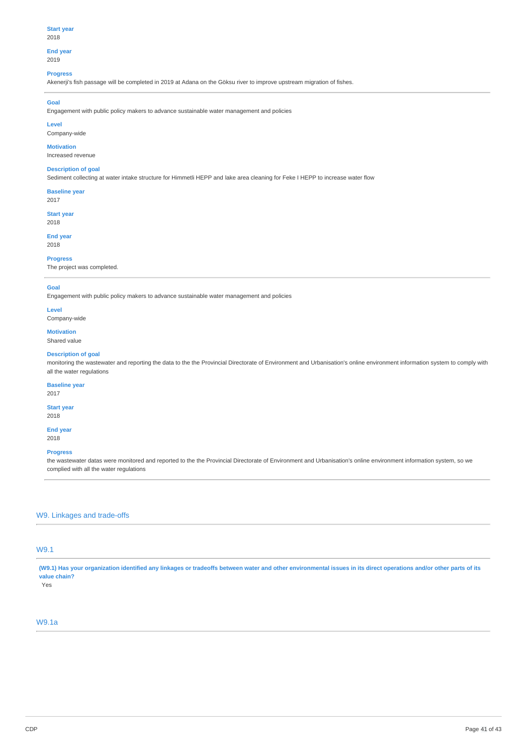**End year**

## 2019

### **Progress**

Akenerji's fish passage will be completed in 2019 at Adana on the Göksu river to improve upstream migration of fishes.

## **Goal**

Engagement with public policy makers to advance sustainable water management and policies

## **Level**

Company-wide

#### **Motivation**

Increased revenue

## **Description of goal**

Sediment collecting at water intake structure for Himmetli HEPP and lake area cleaning for Feke I HEPP to increase water flow

## **Baseline year**

2017

**Start year** 2018

# **End year**

2018

## **Progress**

The project was completed.

#### **Goal**

Engagement with public policy makers to advance sustainable water management and policies

#### **Level** Company-wide

#### **Motivation** Shared value

## **Description of goal**

monitoring the wastewater and reporting the data to the the Provincial Directorate of Environment and Urbanisation's online environment information system to comply with all the water regulations

### **Baseline year**

2017

#### **Start year** 2018

**End year** 2018

### **Progress**

the wastewater datas were monitored and reported to the the Provincial Directorate of Environment and Urbanisation's online environment information system, so we complied with all the water regulations

## W9. Linkages and trade-offs

## W9.1

(W9.1) Has your organization identified any linkages or tradeoffs between water and other environmental issues in its direct operations and/or other parts of its **value chain?**

Yes

## W9.1a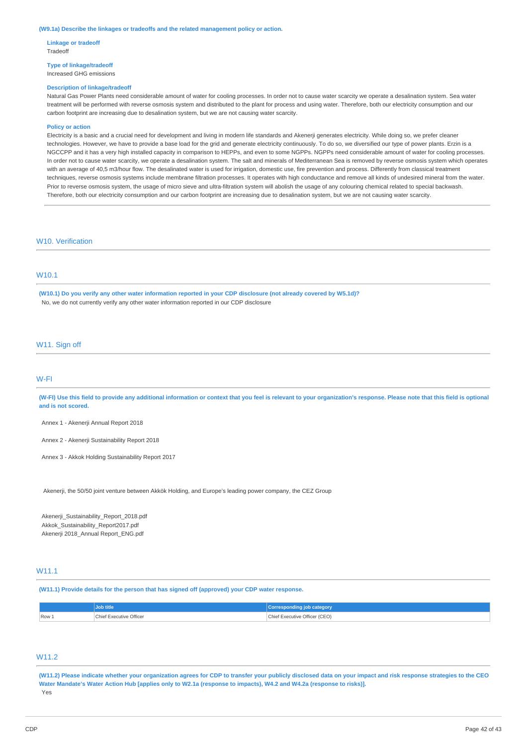#### **(W9.1a) Describe the linkages or tradeoffs and the related management policy or action.**

**Linkage or tradeoff** Tradeoff

**Type of linkage/tradeoff** Increased GHG emissions

#### **Description of linkage/tradeoff**

Natural Gas Power Plants need considerable amount of water for cooling processes. In order not to cause water scarcity we operate a desalination system. Sea water treatment will be performed with reverse osmosis system and distributed to the plant for process and using water. Therefore, both our electricity consumption and our carbon footprint are increasing due to desalination system, but we are not causing water scarcity.

#### **Policy or action**

Electricity is a basic and a crucial need for development and living in modern life standards and Akenerji generates electricity. While doing so, we prefer cleaner technologies. However, we have to provide a base load for the grid and generate electricity continuously. To do so, we diversified our type of power plants. Erzin is a NGCCPP and it has a very high installed capacity in comparison to HEPPs, and even to some NGPPs. NGPPs need considerable amount of water for cooling processes. In order not to cause water scarcity, we operate a desalination system. The salt and minerals of Mediterranean Sea is removed by reverse osmosis system which operates with an average of 40,5 m3/hour flow. The desalinated water is used for irrigation, domestic use, fire prevention and process. Differently from classical treatment techniques, reverse osmosis systems include membrane filtration processes. It operates with high conductance and remove all kinds of undesired mineral from the water. Prior to reverse osmosis system, the usage of micro sieve and ultra-filtration system will abolish the usage of any colouring chemical related to special backwash. Therefore, both our electricity consumption and our carbon footprint are increasing due to desalination system, but we are not causing water scarcity.

## W10. Verification

## W10.1

(W10.1) Do you verify any other water information reported in your CDP disclosure (not already covered by W5.1d)? No, we do not currently verify any other water information reported in our CDP disclosure

#### W11. Sign off

### W-FI

(W-FI) Use this field to provide any additional information or context that you feel is relevant to your organization's response. Please note that this field is optional **and is not scored.**

Annex 1 - Akenerji Annual Report 2018

Annex 2 - Akenerji Sustainability Report 2018

Annex 3 - Akkok Holding Sustainability Report 2017

Akenerji, the 50/50 joint venture between Akkök Holding, and Europe's leading power company, the CEZ Group

Akenerji\_Sustainability\_Report\_2018.pdf Akkok\_Sustainability\_Report2017.pdf Akenerji 2018\_Annual Report\_ENG.pdf

## **W11.1**

**(W11.1) Provide details for the person that has signed off (approved) your CDP water response.**

|       | Job title               | Corresponding job category    |
|-------|-------------------------|-------------------------------|
| Row 1 | Chief Executive Officer | Chief Executive Officer (CEO) |

## W11.2

(W11.2) Please indicate whether your organization agrees for CDP to transfer your publicly disclosed data on your impact and risk response strategies to the CEO Water Mandate's Water Action Hub [applies only to W2.1a (response to impacts), W4.2 and W4.2a (response to risks)]. Yes